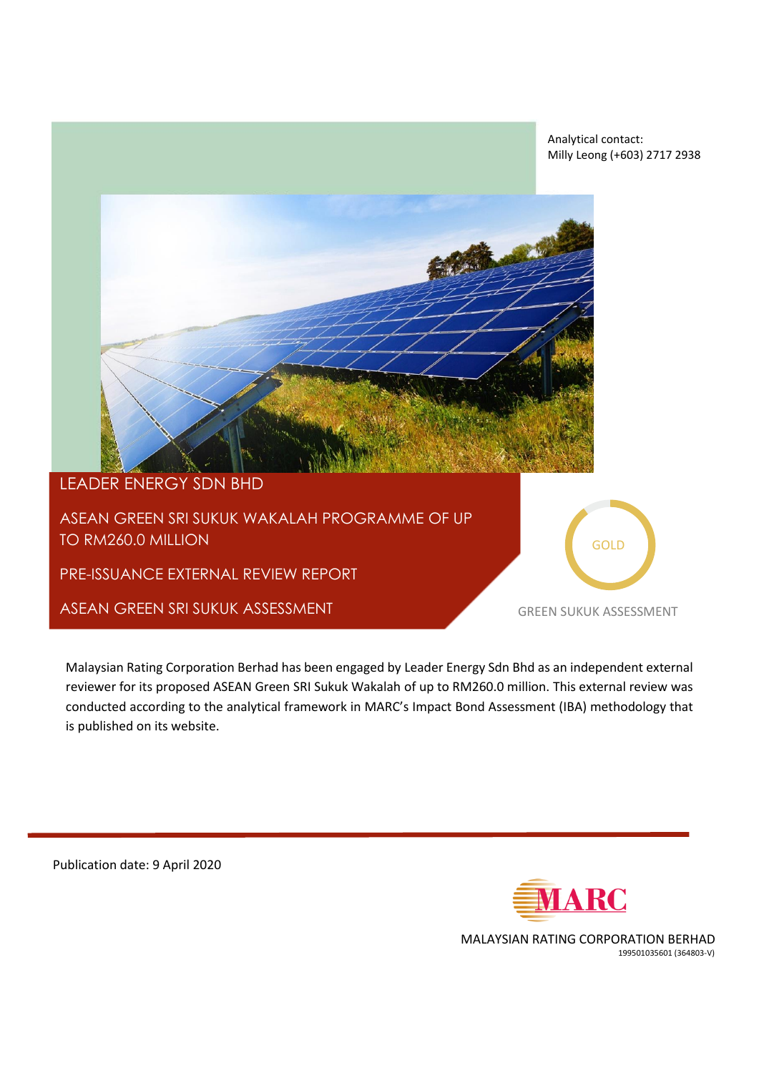



## LEADER ENERGY SDN BHD

TO RM260.0 MILLION REPORT OF REPORT OF REPORT OF REPORT OF REPORT OF REPORT OF REPORT OF REPORT OF REPORT OF R ASEAN GREEN SRI SUKUK WAKALAH PROGRAMME OF UP

PRE-ISSUANCE EXTERNAL REVIEW REPORT

ASEAN GREEN SRI SUKUK ASSESSMENT

GOLD

GREEN SUKUK ASSESSMENT

Malaysian Rating Corporation Berhad has been engaged by Leader Energy Sdn Bhd as an independent external reviewer for its proposed ASEAN Green SRI Sukuk Wakalah of up to RM260.0 million. This external review was conducted according to the analytical framework in MARC's Impact Bond Assessment (IBA) methodology that is published on its website.

Publication date: 9 April 2020



MALAYSIAN RATING CORPORATION BERHAD 199501035601 (364803-V)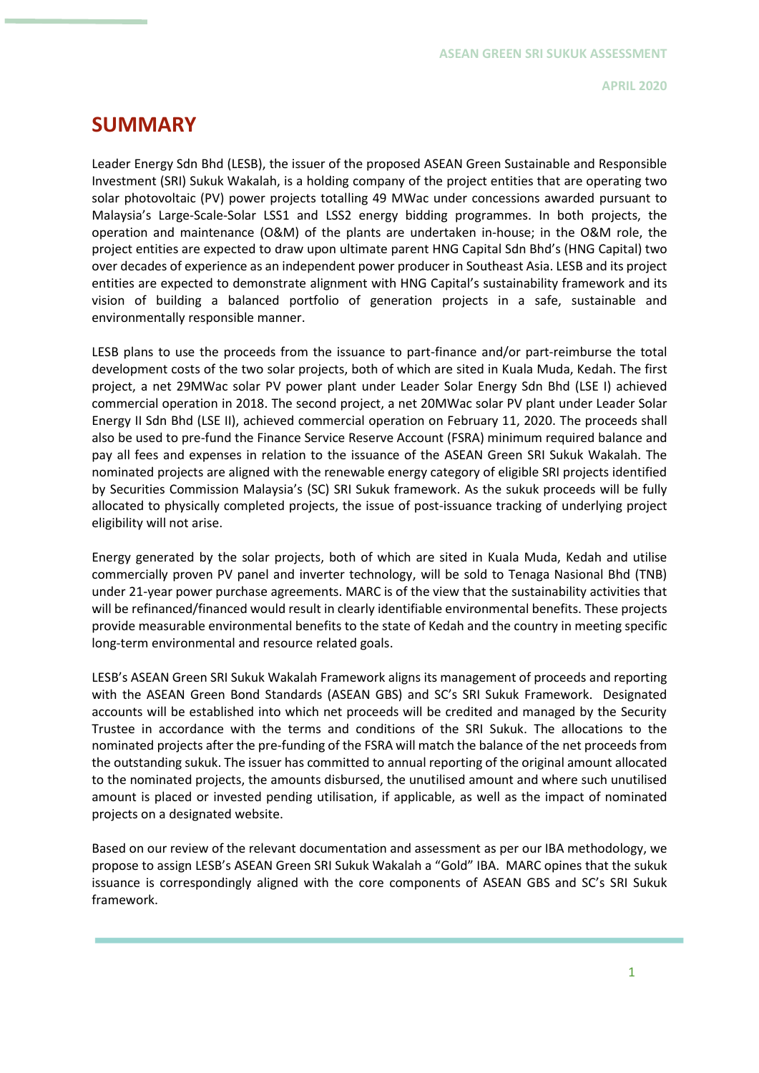# **SUMMARY**

Leader Energy Sdn Bhd (LESB), the issuer of the proposed ASEAN Green Sustainable and Responsible Investment (SRI) Sukuk Wakalah, is a holding company of the project entities that are operating two solar photovoltaic (PV) power projects totalling 49 MWac under concessions awarded pursuant to Malaysia's Large-Scale-Solar LSS1 and LSS2 energy bidding programmes. In both projects, the operation and maintenance (O&M) of the plants are undertaken in-house; in the O&M role, the project entities are expected to draw upon ultimate parent HNG Capital Sdn Bhd's (HNG Capital) two over decades of experience as an independent power producer in Southeast Asia. LESB and its project entities are expected to demonstrate alignment with HNG Capital's sustainability framework and its vision of building a balanced portfolio of generation projects in a safe, sustainable and environmentally responsible manner.

LESB plans to use the proceeds from the issuance to part-finance and/or part-reimburse the total development costs of the two solar projects, both of which are sited in Kuala Muda, Kedah. The first project, a net 29MWac solar PV power plant under Leader Solar Energy Sdn Bhd (LSE I) achieved commercial operation in 2018. The second project, a net 20MWac solar PV plant under Leader Solar Energy II Sdn Bhd (LSE II), achieved commercial operation on February 11, 2020. The proceeds shall also be used to pre-fund the Finance Service Reserve Account (FSRA) minimum required balance and pay all fees and expenses in relation to the issuance of the ASEAN Green SRI Sukuk Wakalah. The nominated projects are aligned with the renewable energy category of eligible SRI projects identified by Securities Commission Malaysia's (SC) SRI Sukuk framework. As the sukuk proceeds will be fully allocated to physically completed projects, the issue of post-issuance tracking of underlying project eligibility will not arise.

Energy generated by the solar projects, both of which are sited in Kuala Muda, Kedah and utilise commercially proven PV panel and inverter technology, will be sold to Tenaga Nasional Bhd (TNB) under 21-year power purchase agreements. MARC is of the view that the sustainability activities that will be refinanced/financed would result in clearly identifiable environmental benefits. These projects provide measurable environmental benefits to the state of Kedah and the country in meeting specific long-term environmental and resource related goals.

LESB's ASEAN Green SRI Sukuk Wakalah Framework aligns its management of proceeds and reporting with the ASEAN Green Bond Standards (ASEAN GBS) and SC's SRI Sukuk Framework. Designated accounts will be established into which net proceeds will be credited and managed by the Security Trustee in accordance with the terms and conditions of the SRI Sukuk. The allocations to the nominated projects after the pre-funding of the FSRA will match the balance of the net proceeds from the outstanding sukuk. The issuer has committed to annual reporting of the original amount allocated to the nominated projects, the amounts disbursed, the unutilised amount and where such unutilised amount is placed or invested pending utilisation, if applicable, as well as the impact of nominated projects on a designated website.

Based on our review of the relevant documentation and assessment as per our IBA methodology, we propose to assign LESB's ASEAN Green SRI Sukuk Wakalah a "Gold" IBA. MARC opines that the sukuk issuance is correspondingly aligned with the core components of ASEAN GBS and SC's SRI Sukuk framework.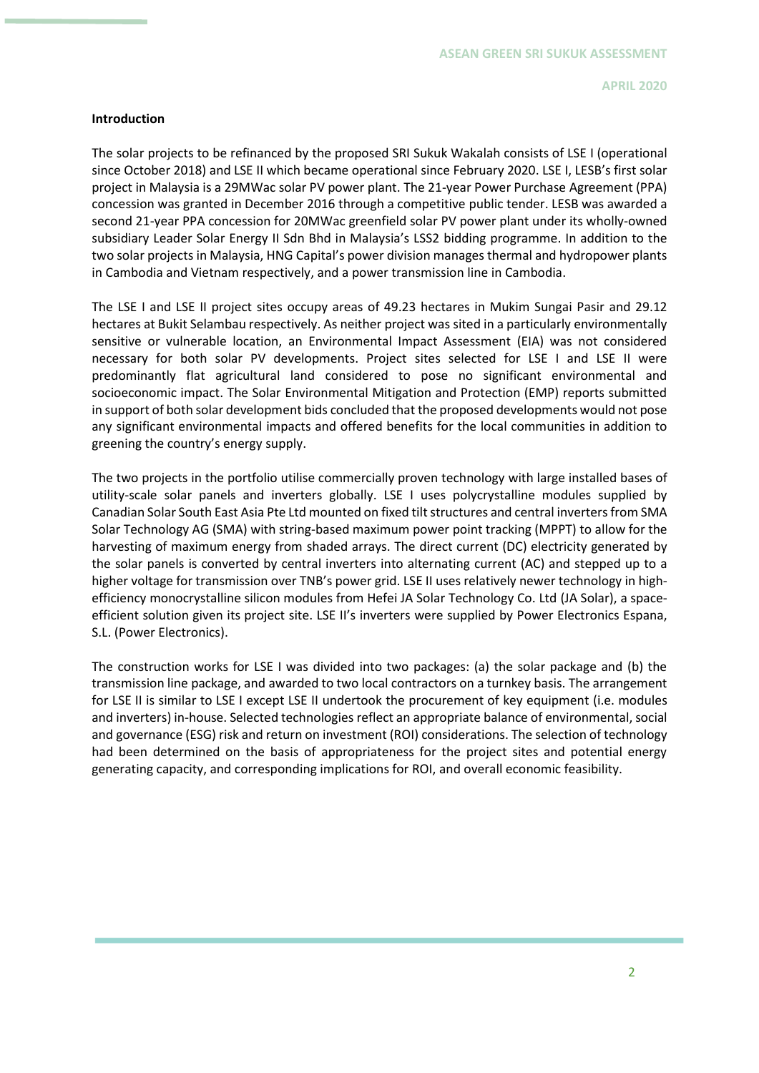### **Introduction**

The solar projects to be refinanced by the proposed SRI Sukuk Wakalah consists of LSE I (operational since October 2018) and LSE II which became operational since February 2020. LSE I, LESB's first solar project in Malaysia is a 29MWac solar PV power plant. The 21-year Power Purchase Agreement (PPA) concession was granted in December 2016 through a competitive public tender. LESB was awarded a second 21-year PPA concession for 20MWac greenfield solar PV power plant under its wholly-owned subsidiary Leader Solar Energy II Sdn Bhd in Malaysia's LSS2 bidding programme. In addition to the two solar projects in Malaysia, HNG Capital's power division manages thermal and hydropower plants in Cambodia and Vietnam respectively, and a power transmission line in Cambodia.

The LSE I and LSE II project sites occupy areas of 49.23 hectares in Mukim Sungai Pasir and 29.12 hectares at Bukit Selambau respectively. As neither project was sited in a particularly environmentally sensitive or vulnerable location, an Environmental Impact Assessment (EIA) was not considered necessary for both solar PV developments. Project sites selected for LSE I and LSE II were predominantly flat agricultural land considered to pose no significant environmental and socioeconomic impact. The Solar Environmental Mitigation and Protection (EMP) reports submitted in support of both solar development bids concluded that the proposed developments would not pose any significant environmental impacts and offered benefits for the local communities in addition to greening the country's energy supply.

The two projects in the portfolio utilise commercially proven technology with large installed bases of utility-scale solar panels and inverters globally. LSE I uses polycrystalline modules supplied by Canadian Solar South East Asia Pte Ltd mounted on fixed tilt structures and central inverters from SMA Solar Technology AG (SMA) with string-based maximum power point tracking (MPPT) to allow for the harvesting of maximum energy from shaded arrays. The direct current (DC) electricity generated by the solar panels is converted by central inverters into alternating current (AC) and stepped up to a higher voltage for transmission over TNB's power grid. LSE II uses relatively newer technology in highefficiency monocrystalline silicon modules from Hefei JA Solar Technology Co. Ltd (JA Solar), a spaceefficient solution given its project site. LSE II's inverters were supplied by Power Electronics Espana, S.L. (Power Electronics).

The construction works for LSE I was divided into two packages: (a) the solar package and (b) the transmission line package, and awarded to two local contractors on a turnkey basis. The arrangement for LSE II is similar to LSE I except LSE II undertook the procurement of key equipment (i.e. modules and inverters) in-house. Selected technologies reflect an appropriate balance of environmental, social and governance (ESG) risk and return on investment (ROI) considerations. The selection of technology had been determined on the basis of appropriateness for the project sites and potential energy generating capacity, and corresponding implications for ROI, and overall economic feasibility.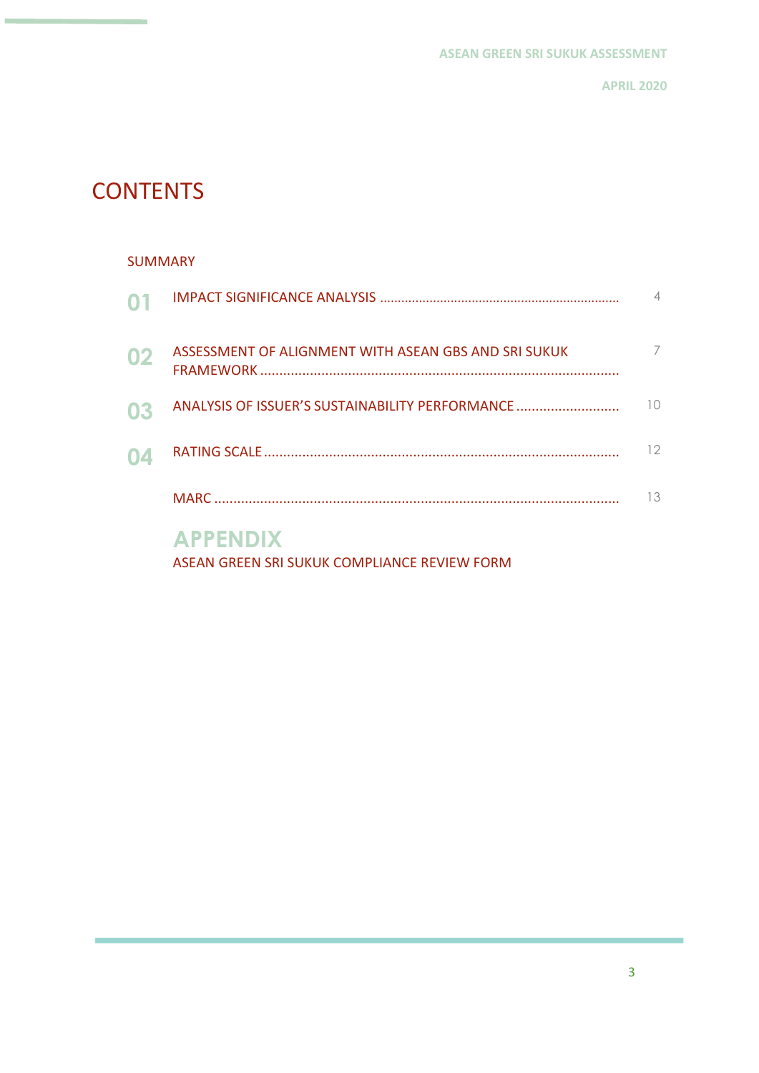# **CONTENTS**

### SUMMARY

| $\mathbf{O}^{\prime}$ |                                                      |          |
|-----------------------|------------------------------------------------------|----------|
| 02                    | ASSESSMENT OF ALIGNMENT WITH ASEAN GBS AND SRI SUKUK |          |
| 03                    | ANALYSIS OF ISSUER'S SUSTAINABILITY PERFORMANCE      | $1 \cap$ |
| 04                    |                                                      | 12       |
|                       |                                                      | 13       |
|                       | <b>APPENDIX</b>                                      |          |

ASEAN GREEN SRI SUKUK COMPLIANCE REVIEW FORM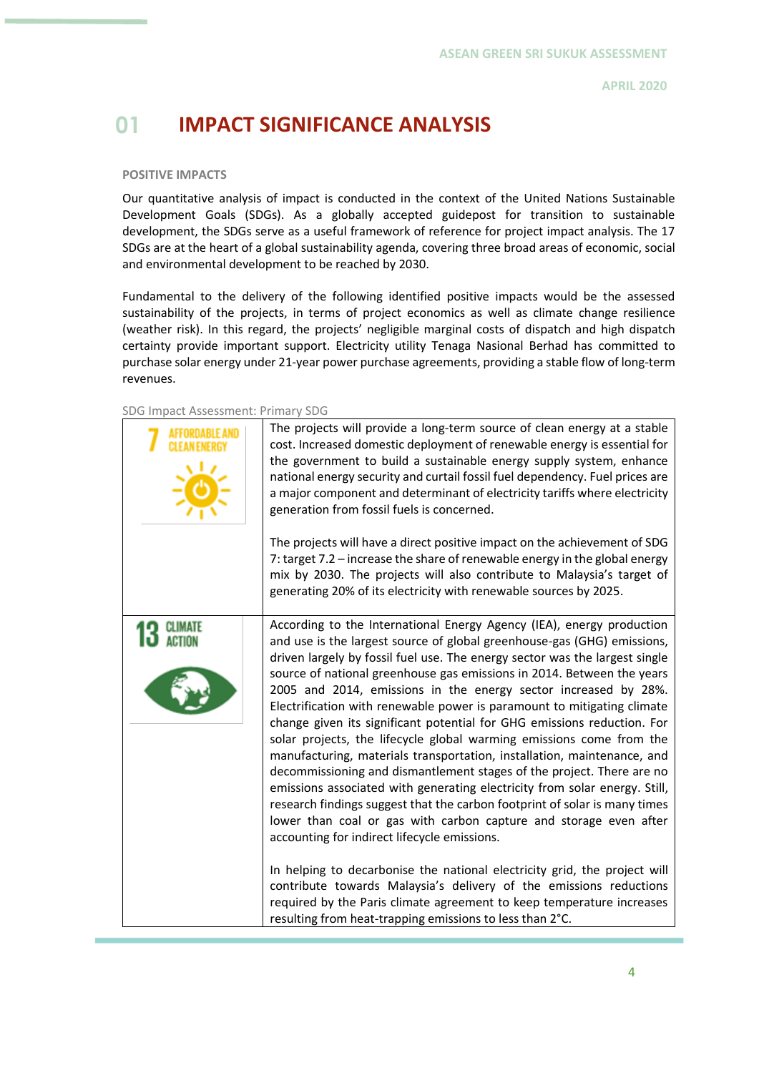# **01 IMPACT SIGNIFICANCE ANALYSIS**

### **POSITIVE IMPACTS**

Our quantitative analysis of impact is conducted in the context of the United Nations Sustainable Development Goals (SDGs). As a globally accepted guidepost for transition to sustainable development, the SDGs serve as a useful framework of reference for project impact analysis. The 17 SDGs are at the heart of a global sustainability agenda, covering three broad areas of economic, social and environmental development to be reached by 2030.

Fundamental to the delivery of the following identified positive impacts would be the assessed sustainability of the projects, in terms of project economics as well as climate change resilience (weather risk). In this regard, the projects' negligible marginal costs of dispatch and high dispatch certainty provide important support. Electricity utility Tenaga Nasional Berhad has committed to purchase solar energy under 21-year power purchase agreements, providing a stable flow of long-term revenues.

SDG Impact Assessment: Primary SDG

| The projects will provide a long-term source of clean energy at a stable<br>cost. Increased domestic deployment of renewable energy is essential for<br>the government to build a sustainable energy supply system, enhance<br>national energy security and curtail fossil fuel dependency. Fuel prices are<br>a major component and determinant of electricity tariffs where electricity<br>generation from fossil fuels is concerned.<br>The projects will have a direct positive impact on the achievement of SDG<br>7: target 7.2 - increase the share of renewable energy in the global energy<br>mix by 2030. The projects will also contribute to Malaysia's target of<br>generating 20% of its electricity with renewable sources by 2025.                                                                                                                                                                                                                                                                                                                                                                                                                                                                                                                                                                                      |
|-----------------------------------------------------------------------------------------------------------------------------------------------------------------------------------------------------------------------------------------------------------------------------------------------------------------------------------------------------------------------------------------------------------------------------------------------------------------------------------------------------------------------------------------------------------------------------------------------------------------------------------------------------------------------------------------------------------------------------------------------------------------------------------------------------------------------------------------------------------------------------------------------------------------------------------------------------------------------------------------------------------------------------------------------------------------------------------------------------------------------------------------------------------------------------------------------------------------------------------------------------------------------------------------------------------------------------------------|
| According to the International Energy Agency (IEA), energy production<br>and use is the largest source of global greenhouse-gas (GHG) emissions,<br>driven largely by fossil fuel use. The energy sector was the largest single<br>source of national greenhouse gas emissions in 2014. Between the years<br>2005 and 2014, emissions in the energy sector increased by 28%.<br>Electrification with renewable power is paramount to mitigating climate<br>change given its significant potential for GHG emissions reduction. For<br>solar projects, the lifecycle global warming emissions come from the<br>manufacturing, materials transportation, installation, maintenance, and<br>decommissioning and dismantlement stages of the project. There are no<br>emissions associated with generating electricity from solar energy. Still,<br>research findings suggest that the carbon footprint of solar is many times<br>lower than coal or gas with carbon capture and storage even after<br>accounting for indirect lifecycle emissions.<br>In helping to decarbonise the national electricity grid, the project will<br>contribute towards Malaysia's delivery of the emissions reductions<br>required by the Paris climate agreement to keep temperature increases<br>resulting from heat-trapping emissions to less than 2°C. |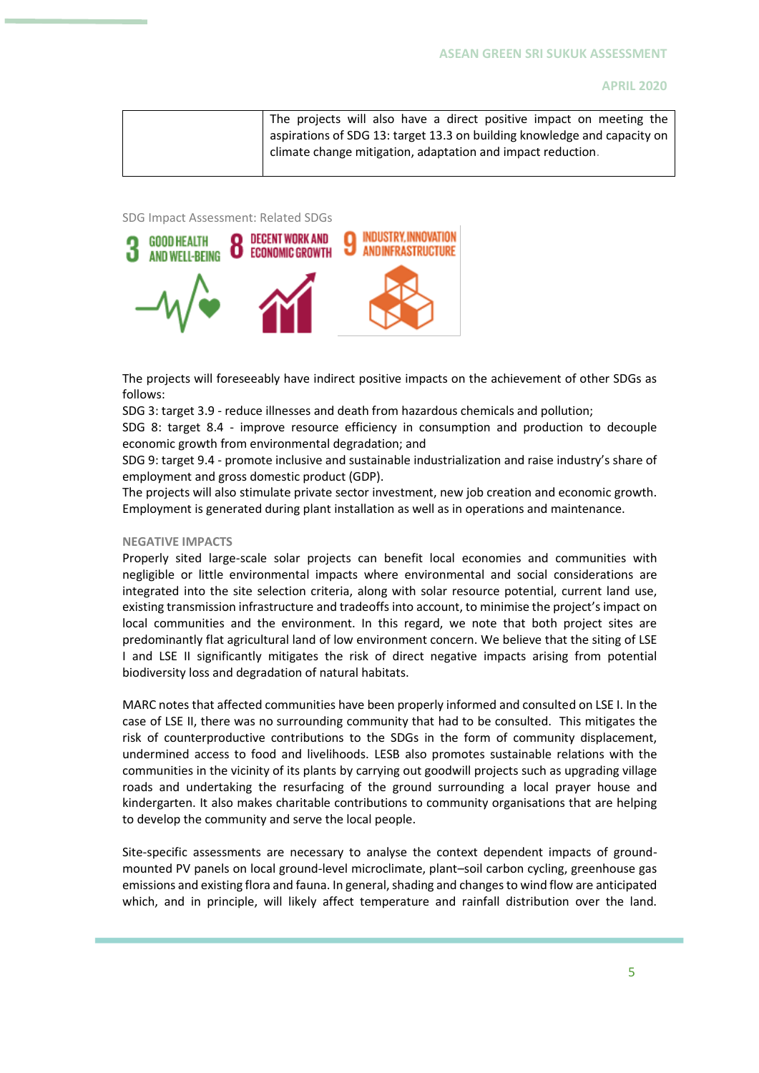The projects will also have a direct positive impact on meeting the aspirations of SDG 13: target 13.3 on building knowledge and capacity on climate change mitigation, adaptation and impact reduction.

SDG Impact Assessment: Related SDGs



The projects will foreseeably have indirect positive impacts on the achievement of other SDGs as follows:

SDG 3: target 3.9 - reduce illnesses and death from hazardous chemicals and pollution;

SDG 8: target 8.4 - improve resource efficiency in consumption and production to decouple economic growth from environmental degradation; and

SDG 9: target 9.4 - promote inclusive and sustainable industrialization and raise industry's share of employment and gross domestic product (GDP).

The projects will also stimulate private sector investment, new job creation and economic growth. Employment is generated during plant installation as well as in operations and maintenance.

#### **NEGATIVE IMPACTS**

Properly sited large-scale solar projects can benefit local economies and communities with negligible or little environmental impacts where environmental and social considerations are integrated into the site selection criteria, along with solar resource potential, current land use, existing transmission infrastructure and tradeoffs into account, to minimise the project's impact on local communities and the environment. In this regard, we note that both project sites are predominantly flat agricultural land of low environment concern. We believe that the siting of LSE I and LSE II significantly mitigates the risk of direct negative impacts arising from potential biodiversity loss and degradation of natural habitats.

MARC notes that affected communities have been properly informed and consulted on LSE I. In the case of LSE II, there was no surrounding community that had to be consulted. This mitigates the risk of counterproductive contributions to the SDGs in the form of community displacement, undermined access to food and livelihoods. LESB also promotes sustainable relations with the communities in the vicinity of its plants by carrying out goodwill projects such as upgrading village roads and undertaking the resurfacing of the ground surrounding a local prayer house and kindergarten. It also makes charitable contributions to community organisations that are helping to develop the community and serve the local people.

Site-specific assessments are necessary to analyse the context dependent impacts of groundmounted PV panels on local ground‐level microclimate, plant–soil carbon cycling, greenhouse gas emissions and existing flora and fauna. In general, shading and changes to wind flow are anticipated which, and in principle, will likely affect temperature and rainfall distribution over the land.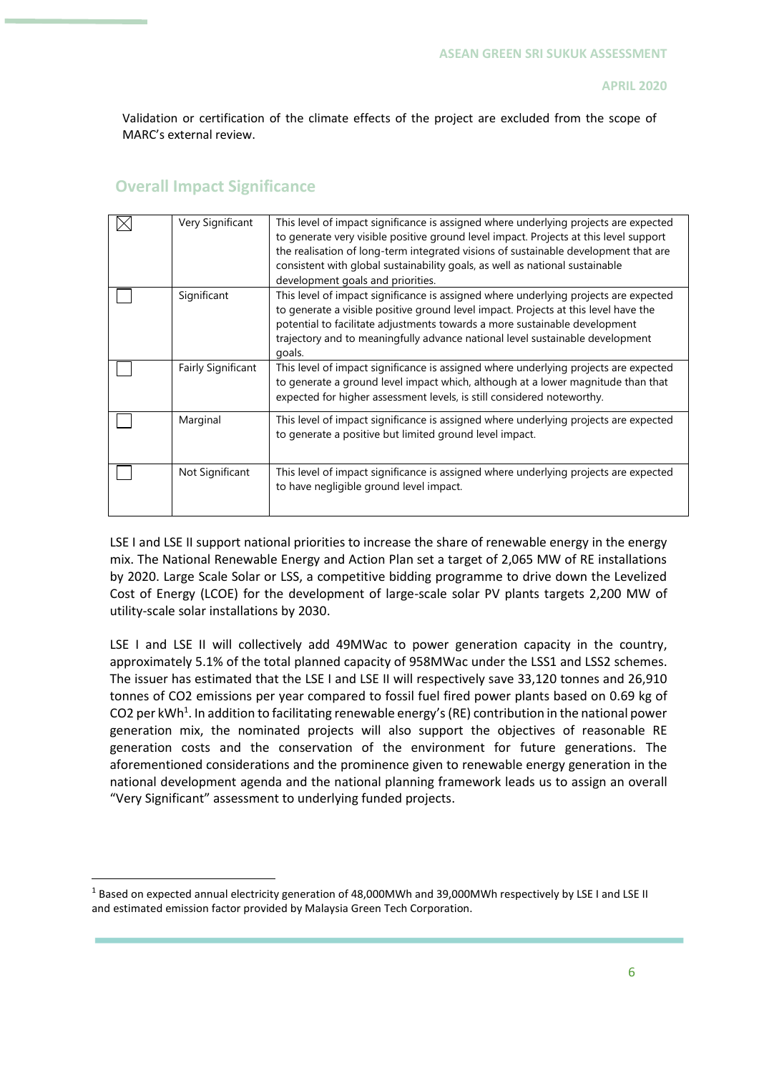Validation or certification of the climate effects of the project are excluded from the scope of MARC's external review.

### **Overall Impact Significance**

| Very Significant   | This level of impact significance is assigned where underlying projects are expected<br>to generate very visible positive ground level impact. Projects at this level support<br>the realisation of long-term integrated visions of sustainable development that are<br>consistent with global sustainability goals, as well as national sustainable<br>development goals and priorities. |
|--------------------|-------------------------------------------------------------------------------------------------------------------------------------------------------------------------------------------------------------------------------------------------------------------------------------------------------------------------------------------------------------------------------------------|
| Significant        | This level of impact significance is assigned where underlying projects are expected<br>to generate a visible positive ground level impact. Projects at this level have the<br>potential to facilitate adjustments towards a more sustainable development<br>trajectory and to meaningfully advance national level sustainable development<br>goals.                                      |
| Fairly Significant | This level of impact significance is assigned where underlying projects are expected<br>to generate a ground level impact which, although at a lower magnitude than that<br>expected for higher assessment levels, is still considered noteworthy.                                                                                                                                        |
| Marginal           | This level of impact significance is assigned where underlying projects are expected<br>to generate a positive but limited ground level impact.                                                                                                                                                                                                                                           |
| Not Significant    | This level of impact significance is assigned where underlying projects are expected<br>to have negligible ground level impact.                                                                                                                                                                                                                                                           |

LSE I and LSE II support national priorities to increase the share of renewable energy in the energy mix. The National Renewable Energy and Action Plan set a target of 2,065 MW of RE installations by 2020. Large Scale Solar or LSS, a competitive bidding programme to drive down the Levelized Cost of Energy (LCOE) for the development of large-scale solar PV plants targets 2,200 MW of utility-scale solar installations by 2030.

LSE I and LSE II will collectively add 49MWac to power generation capacity in the country, approximately 5.1% of the total planned capacity of 958MWac under the LSS1 and LSS2 schemes. The issuer has estimated that the LSE I and LSE II will respectively save 33,120 tonnes and 26,910 tonnes of CO2 emissions per year compared to fossil fuel fired power plants based on 0.69 kg of CO2 per kWh<sup>1</sup>. In addition to facilitating renewable energy's (RE) contribution in the national power generation mix, the nominated projects will also support the objectives of reasonable RE generation costs and the conservation of the environment for future generations. The aforementioned considerations and the prominence given to renewable energy generation in the national development agenda and the national planning framework leads us to assign an overall "Very Significant" assessment to underlying funded projects.

<sup>&</sup>lt;sup>1</sup> Based on expected annual electricity generation of 48,000MWh and 39,000MWh respectively by LSE I and LSE II and estimated emission factor provided by Malaysia Green Tech Corporation.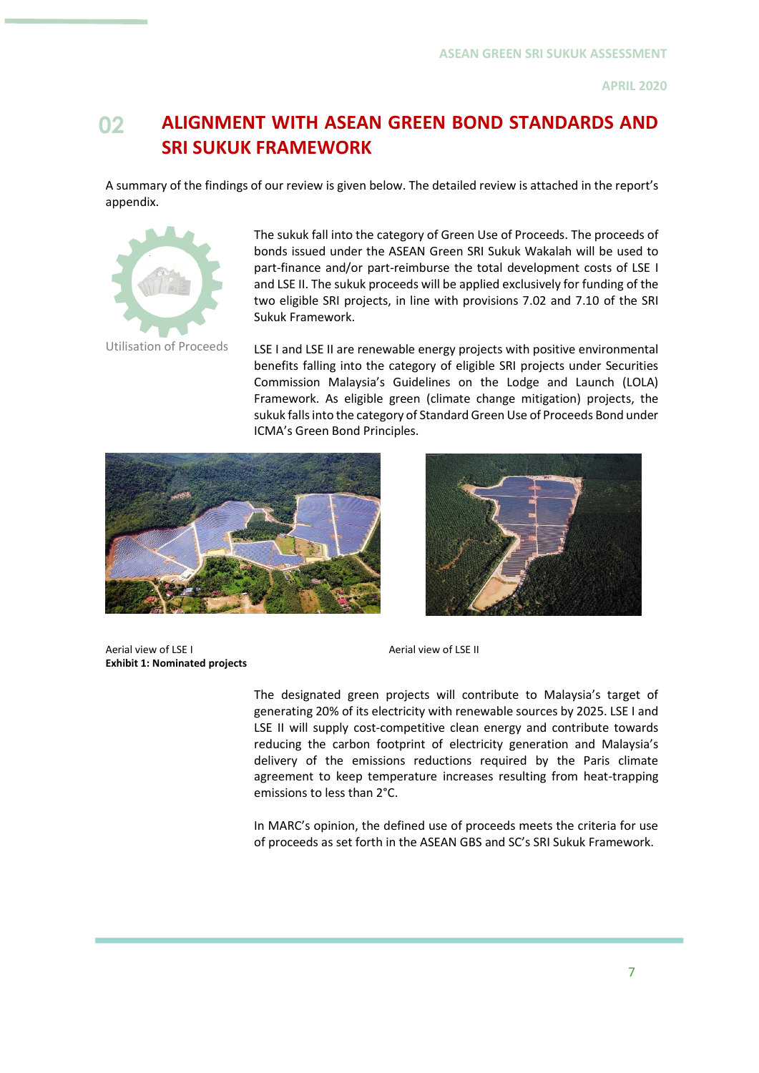# **02 ALIGNMENT WITH ASEAN GREEN BOND STANDARDS AND SRI SUKUK FRAMEWORK**

A summary of the findings of our review is given below. The detailed review is attached in the report's appendix.



The sukuk fall into the category of Green Use of Proceeds. The proceeds of bonds issued under the ASEAN Green SRI Sukuk Wakalah will be used to part-finance and/or part-reimburse the total development costs of LSE I and LSE II. The sukuk proceeds will be applied exclusively for funding of the two eligible SRI projects, in line with provisions 7.02 and 7.10 of the SRI Sukuk Framework.

LSE I and LSE II are renewable energy projects with positive environmental benefits falling into the category of eligible SRI projects under Securities Commission Malaysia's Guidelines on the Lodge and Launch (LOLA) Framework. As eligible green (climate change mitigation) projects, the sukuk falls into the category of Standard Green Use of Proceeds Bond under ICMA's Green Bond Principles.





Aerial view of LSE I Aerial view of LSE II **Exhibit 1: Nominated projects**

The designated green projects will contribute to Malaysia's target of generating 20% of its electricity with renewable sources by 2025. LSE I and LSE II will supply cost-competitive clean energy and contribute towards reducing the carbon footprint of electricity generation and Malaysia's delivery of the emissions reductions required by the Paris climate agreement to keep temperature increases resulting from heat-trapping emissions to less than 2°C.

In MARC's opinion, the defined use of proceeds meets the criteria for use of proceeds as set forth in the ASEAN GBS and SC's SRI Sukuk Framework.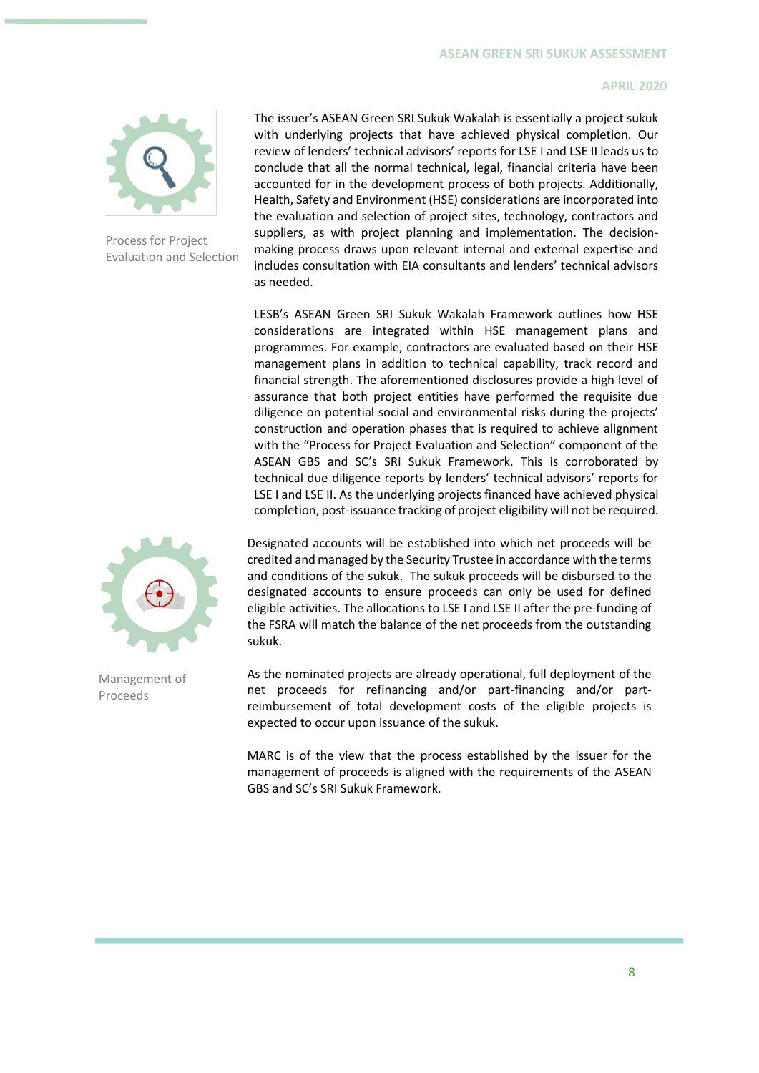

Process for Project Evaluation and Selection The issuer's ASEAN Green SRI Sukuk Wakalah is essentially a project sukuk with underlying projects that have achieved physical completion. Our review of lenders' technical advisors' reports for LSE I and LSE II leads us to conclude that all the normal technical, legal, financial criteria have been accounted for in the development process of both projects. Additionally, Health, Safety and Environment (HSE) considerations are incorporated into the evaluation and selection of project sites, technology, contractors and suppliers, as with project planning and implementation. The decisionmaking process draws upon relevant internal and external expertise and includes consultation with EIA consultants and lenders' technical advisors as needed.

LESB's ASEAN Green SRI Sukuk Wakalah Framework outlines how HSE considerations are integrated within HSE management plans and programmes. For example, contractors are evaluated based on their HSE management plans in addition to technical capability, track record and financial strength. The aforementioned disclosures provide a high level of assurance that both project entities have performed the requisite due diligence on potential social and environmental risks during the projects' construction and operation phases that is required to achieve alignment with the "Process for Project Evaluation and Selection" component of the ASEAN GBS and SC's SRI Sukuk Framework. This is corroborated by technical due diligence reports by lenders' technical advisors' reports for LSE I and LSE II. As the underlying projects financed have achieved physical completion, post-issuance tracking of project eligibility will not be required.



Management of Proceeds

Designated accounts will be established into which net proceeds will be credited and managed by the Security Trustee in accordance with the terms and conditions of the sukuk. The sukuk proceeds will be disbursed to the designated accounts to ensure proceeds can only be used for defined eligible activities. The allocations to LSE I and LSE II after the pre-funding of the FSRA will match the balance of the net proceeds from the outstanding sukuk.

As the nominated projects are already operational, full deployment of the net proceeds for refinancing and/or part-financing and/or partreimbursement of total development costs of the eligible projects is expected to occur upon issuance of the sukuk.

MARC is of the view that the process established by the issuer for the management of proceeds is aligned with the requirements of the ASEAN GBS and SC's SRI Sukuk Framework.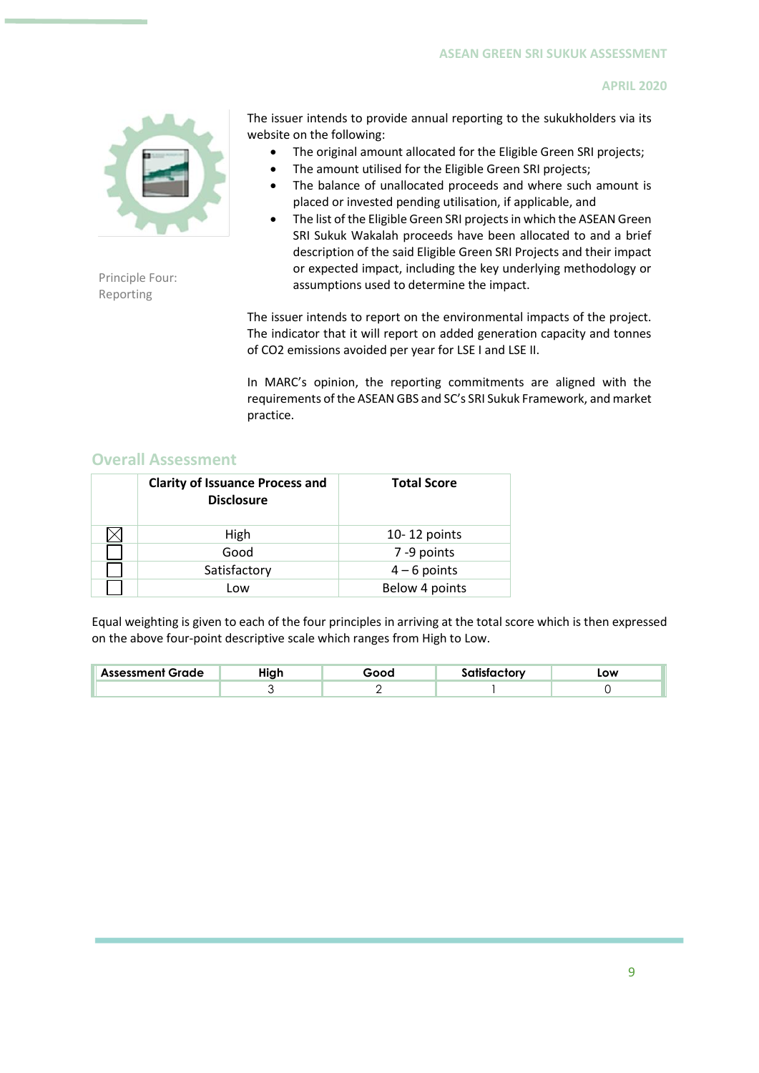

Principle Four: Reporting

The issuer intends to provide annual reporting to the sukukholders via its website on the following:

- The original amount allocated for the Eligible Green SRI projects;
- The amount utilised for the Eligible Green SRI projects;
- The balance of unallocated proceeds and where such amount is placed or invested pending utilisation, if applicable, and
- The list of the Eligible Green SRI projects in which the ASEAN Green SRI Sukuk Wakalah proceeds have been allocated to and a brief description of the said Eligible Green SRI Projects and their impact or expected impact, including the key underlying methodology or assumptions used to determine the impact.

The issuer intends to report on the environmental impacts of the project. The indicator that it will report on added generation capacity and tonnes of CO2 emissions avoided per year for LSE I and LSE II.

In MARC's opinion, the reporting commitments are aligned with the requirements of the ASEAN GBS and SC's SRI Sukuk Framework, and market practice.

### **Overall Assessment**

| <b>Clarity of Issuance Process and</b><br><b>Disclosure</b> | <b>Total Score</b> |
|-------------------------------------------------------------|--------------------|
| High                                                        | $10 - 12$ points   |
| Good                                                        | 7-9 points         |
| Satisfactory                                                | $4 - 6$ points     |
| Low                                                         | Below 4 points     |

Equal weighting is given to each of the four principles in arriving at the total score which is then expressed on the above four-point descriptive scale which ranges from High to Low.

| Grade<br><b>Assessment</b> | . | $- - -$ | - - -- | LOW |
|----------------------------|---|---------|--------|-----|
|                            |   |         |        |     |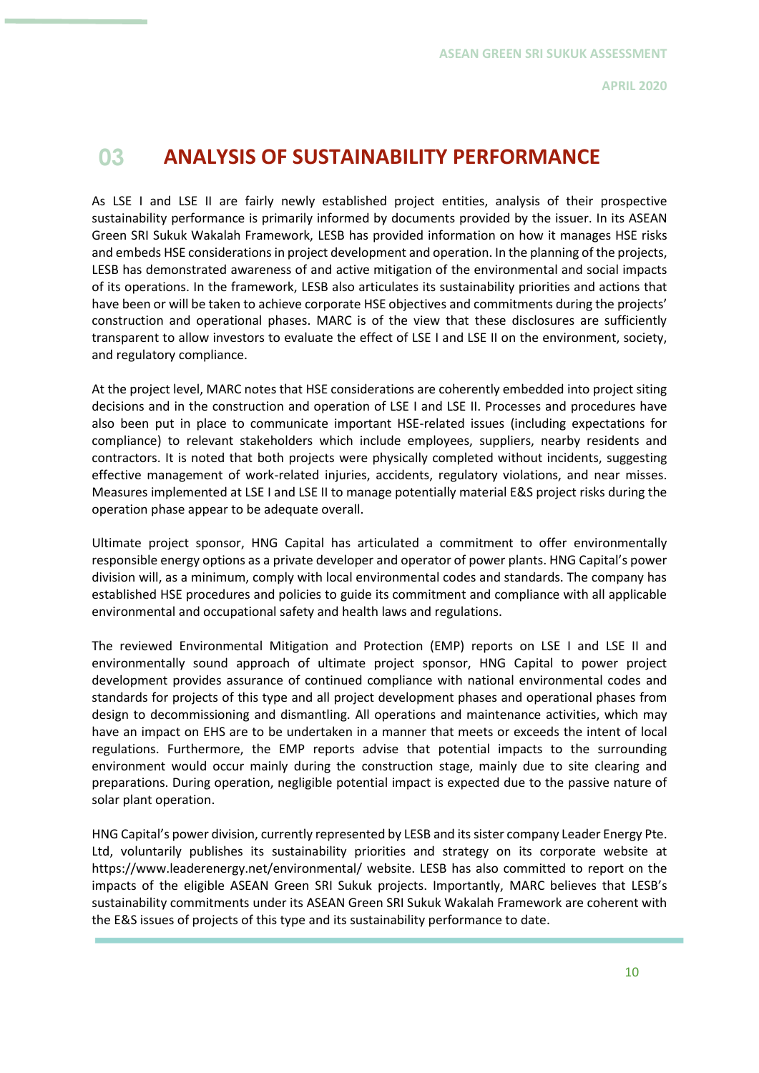# **03 ANALYSIS OF SUSTAINABILITY PERFORMANCE**

As LSE I and LSE II are fairly newly established project entities, analysis of their prospective sustainability performance is primarily informed by documents provided by the issuer. In its ASEAN Green SRI Sukuk Wakalah Framework, LESB has provided information on how it manages HSE risks and embeds HSE considerations in project development and operation. In the planning of the projects, LESB has demonstrated awareness of and active mitigation of the environmental and social impacts of its operations. In the framework, LESB also articulates its sustainability priorities and actions that have been or will be taken to achieve corporate HSE objectives and commitments during the projects' construction and operational phases. MARC is of the view that these disclosures are sufficiently transparent to allow investors to evaluate the effect of LSE I and LSE II on the environment, society, and regulatory compliance.

At the project level, MARC notes that HSE considerations are coherently embedded into project siting decisions and in the construction and operation of LSE I and LSE II. Processes and procedures have also been put in place to communicate important HSE-related issues (including expectations for compliance) to relevant stakeholders which include employees, suppliers, nearby residents and contractors. It is noted that both projects were physically completed without incidents, suggesting effective management of work-related injuries, accidents, regulatory violations, and near misses. Measures implemented at LSE I and LSE II to manage potentially material E&S project risks during the operation phase appear to be adequate overall.

Ultimate project sponsor, HNG Capital has articulated a commitment to offer environmentally responsible energy options as a private developer and operator of power plants. HNG Capital's power division will, as a minimum, comply with local environmental codes and standards. The company has established HSE procedures and policies to guide its commitment and compliance with all applicable environmental and occupational safety and health laws and regulations.

The reviewed Environmental Mitigation and Protection (EMP) reports on LSE I and LSE II and environmentally sound approach of ultimate project sponsor, HNG Capital to power project development provides assurance of continued compliance with national environmental codes and standards for projects of this type and all project development phases and operational phases from design to decommissioning and dismantling. All operations and maintenance activities, which may have an impact on EHS are to be undertaken in a manner that meets or exceeds the intent of local regulations. Furthermore, the EMP reports advise that potential impacts to the surrounding environment would occur mainly during the construction stage, mainly due to site clearing and preparations. During operation, negligible potential impact is expected due to the passive nature of solar plant operation.

HNG Capital's power division, currently represented by LESB and its sister company Leader Energy Pte. Ltd, voluntarily publishes its sustainability priorities and strategy on its corporate website at https://www.leaderenergy.net/environmental/ website. LESB has also committed to report on the impacts of the eligible ASEAN Green SRI Sukuk projects. Importantly, MARC believes that LESB's sustainability commitments under its ASEAN Green SRI Sukuk Wakalah Framework are coherent with the E&S issues of projects of this type and its sustainability performance to date.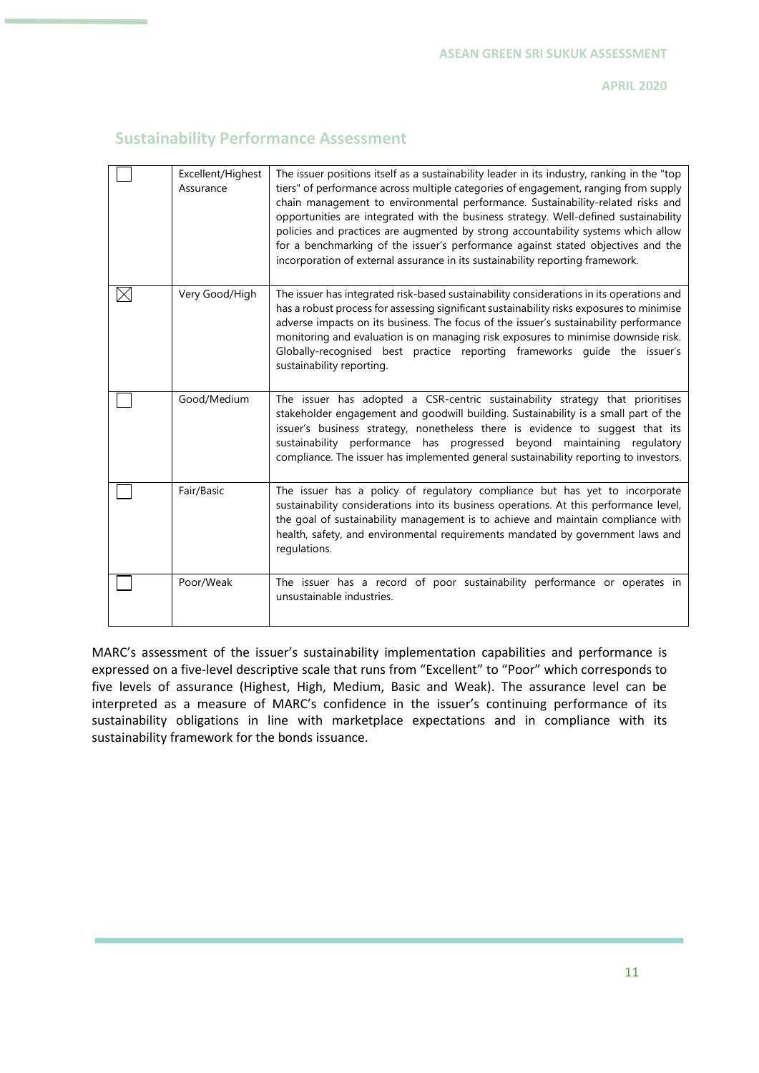## **Sustainability Performance Assessment**

| Excellent/Highest<br>Assurance | The issuer positions itself as a sustainability leader in its industry, ranking in the "top<br>tiers" of performance across multiple categories of engagement, ranging from supply<br>chain management to environmental performance. Sustainability-related risks and<br>opportunities are integrated with the business strategy. Well-defined sustainability<br>policies and practices are augmented by strong accountability systems which allow<br>for a benchmarking of the issuer's performance against stated objectives and the<br>incorporation of external assurance in its sustainability reporting framework. |
|--------------------------------|--------------------------------------------------------------------------------------------------------------------------------------------------------------------------------------------------------------------------------------------------------------------------------------------------------------------------------------------------------------------------------------------------------------------------------------------------------------------------------------------------------------------------------------------------------------------------------------------------------------------------|
| Very Good/High                 | The issuer has integrated risk-based sustainability considerations in its operations and<br>has a robust process for assessing significant sustainability risks exposures to minimise<br>adverse impacts on its business. The focus of the issuer's sustainability performance<br>monitoring and evaluation is on managing risk exposures to minimise downside risk.<br>Globally-recognised best practice reporting frameworks guide the issuer's<br>sustainability reporting.                                                                                                                                           |
| Good/Medium                    | The issuer has adopted a CSR-centric sustainability strategy that prioritises<br>stakeholder engagement and goodwill building. Sustainability is a small part of the<br>issuer's business strategy, nonetheless there is evidence to suggest that its<br>sustainability performance has progressed beyond maintaining regulatory<br>compliance. The issuer has implemented general sustainability reporting to investors.                                                                                                                                                                                                |
| Fair/Basic                     | The issuer has a policy of regulatory compliance but has yet to incorporate<br>sustainability considerations into its business operations. At this performance level,<br>the goal of sustainability management is to achieve and maintain compliance with<br>health, safety, and environmental requirements mandated by government laws and<br>regulations.                                                                                                                                                                                                                                                              |
| Poor/Weak                      | The issuer has a record of poor sustainability performance or operates in<br>unsustainable industries.                                                                                                                                                                                                                                                                                                                                                                                                                                                                                                                   |

MARC's assessment of the issuer's sustainability implementation capabilities and performance is expressed on a five-level descriptive scale that runs from "Excellent" to "Poor" which corresponds to five levels of assurance (Highest, High, Medium, Basic and Weak). The assurance level can be interpreted as a measure of MARC's confidence in the issuer's continuing performance of its sustainability obligations in line with marketplace expectations and in compliance with its sustainability framework for the bonds issuance.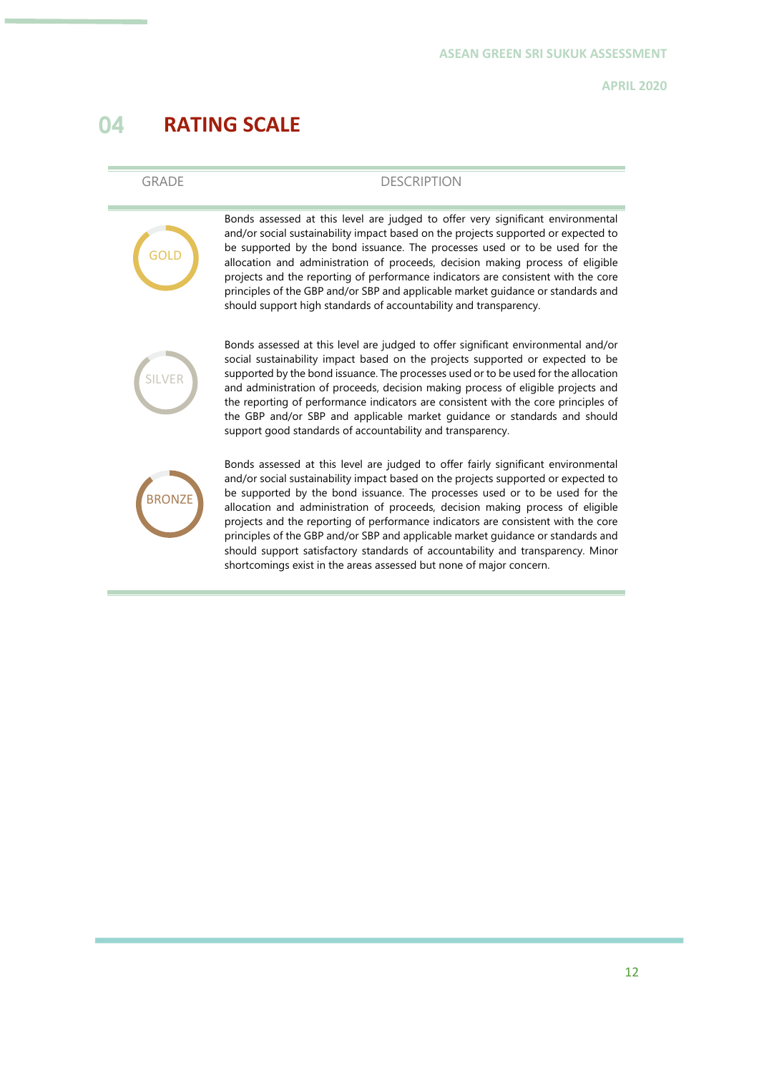# **04 RATING SCALE**

| ٠   |  | v |  |
|-----|--|---|--|
| - 7 |  |   |  |

**GOLD** 

### DESCRIPTION

Bonds assessed at this level are judged to offer very significant environmental and/or social sustainability impact based on the projects supported or expected to be supported by the bond issuance. The processes used or to be used for the allocation and administration of proceeds, decision making process of eligible projects and the reporting of performance indicators are consistent with the core principles of the GBP and/or SBP and applicable market guidance or standards and should support high standards of accountability and transparency.



Bonds assessed at this level are judged to offer significant environmental and/or social sustainability impact based on the projects supported or expected to be supported by the bond issuance. The processes used or to be used for the allocation and administration of proceeds, decision making process of eligible projects and the reporting of performance indicators are consistent with the core principles of the GBP and/or SBP and applicable market guidance or standards and should support good standards of accountability and transparency.



Bonds assessed at this level are judged to offer fairly significant environmental and/or social sustainability impact based on the projects supported or expected to be supported by the bond issuance. The processes used or to be used for the allocation and administration of proceeds, decision making process of eligible projects and the reporting of performance indicators are consistent with the core principles of the GBP and/or SBP and applicable market guidance or standards and should support satisfactory standards of accountability and transparency. Minor shortcomings exist in the areas assessed but none of major concern.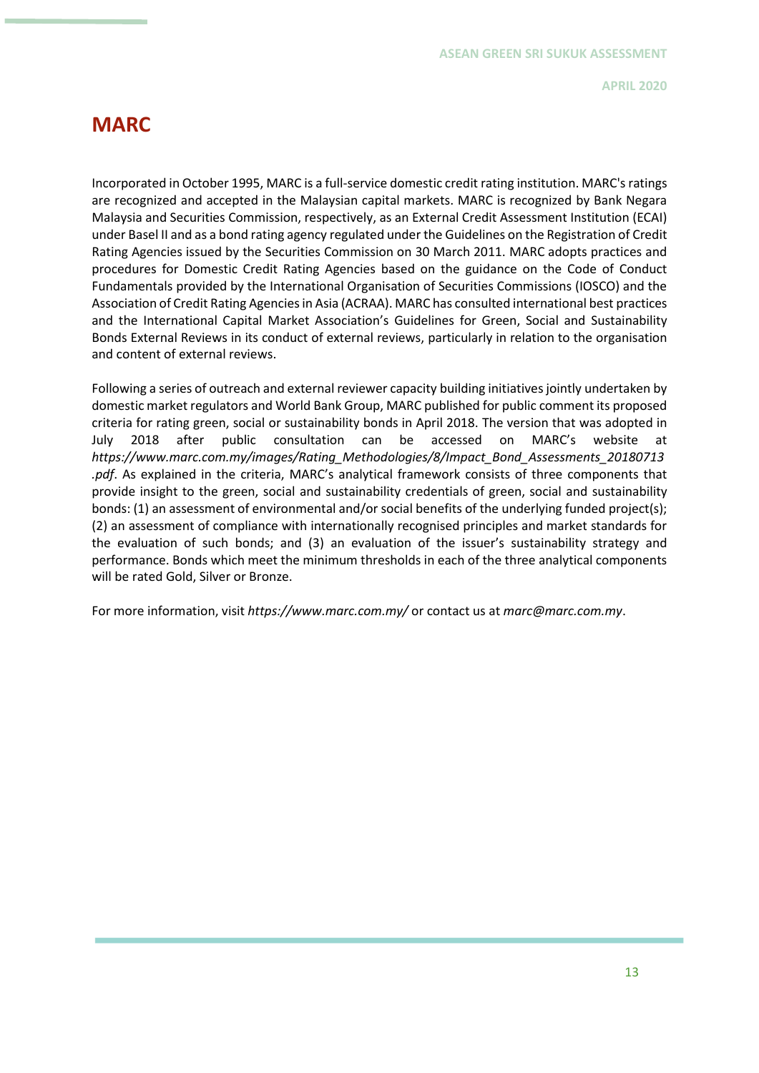## **MARC**

Incorporated in October 1995, MARC is a full-service domestic credit rating institution. MARC's ratings are recognized and accepted in the Malaysian capital markets. MARC is recognized by Bank Negara Malaysia and Securities Commission, respectively, as an External Credit Assessment Institution (ECAI) under Basel II and as a bond rating agency regulated under the Guidelines on the Registration of Credit Rating Agencies issued by the Securities Commission on 30 March 2011. MARC adopts practices and procedures for Domestic Credit Rating Agencies based on the guidance on the Code of Conduct Fundamentals provided by the International Organisation of Securities Commissions (IOSCO) and the Association of Credit Rating Agencies in Asia (ACRAA). MARC has consulted international best practices and the International Capital Market Association's Guidelines for Green, Social and Sustainability Bonds External Reviews in its conduct of external reviews, particularly in relation to the organisation and content of external reviews.

Following a series of outreach and external reviewer capacity building initiatives jointly undertaken by domestic market regulators and World Bank Group, MARC published for public comment its proposed criteria for rating green, social or sustainability bonds in April 2018. The version that was adopted in July 2018 after public consultation can be accessed on MARC's website at *[https://www.marc.com.my/images/Rating\\_Methodologies/8/Impact\\_Bond\\_Assessments\\_20180713](https://www.marc.com.my/images/Rating_Methodologies/8/Impact_Bond_Assessments_20180713.pdf) [.pdf](https://www.marc.com.my/images/Rating_Methodologies/8/Impact_Bond_Assessments_20180713.pdf)*. As explained in the criteria, MARC's analytical framework consists of three components that provide insight to the green, social and sustainability credentials of green, social and sustainability bonds: (1) an assessment of environmental and/or social benefits of the underlying funded project(s); (2) an assessment of compliance with internationally recognised principles and market standards for the evaluation of such bonds; and (3) an evaluation of the issuer's sustainability strategy and performance. Bonds which meet the minimum thresholds in each of the three analytical components will be rated Gold, Silver or Bronze.

For more information, visit *<https://www.marc.com.my/>* or contact us at *[marc@marc.com.my](mailto:marc@marc.com.my)*.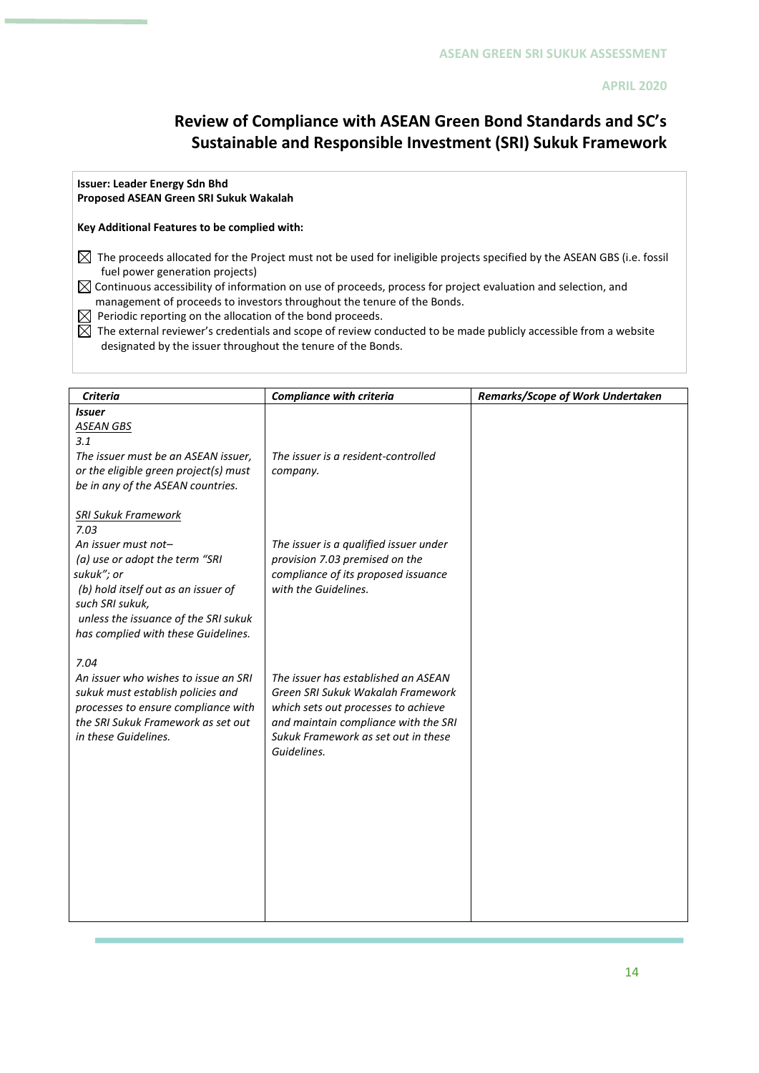## **Review of Compliance with ASEAN Green Bond Standards and SC's Sustainable and Responsible Investment (SRI) Sukuk Framework**

### **Issuer: Leader Energy Sdn Bhd**

### **Proposed ASEAN Green SRI Sukuk Wakalah**

### **Key Additional Features to be complied with:**

 $\boxtimes$  The proceeds allocated for the Project must not be used for ineligible projects specified by the ASEAN GBS (i.e. fossil fuel power generation projects)

 $\boxtimes$  Continuous accessibility of information on use of proceeds, process for project evaluation and selection, and management of proceeds to investors throughout the tenure of the Bonds.

 $\boxtimes$  Periodic reporting on the allocation of the bond proceeds.

 $\boxtimes$  The external reviewer's credentials and scope of review conducted to be made publicly accessible from a website designated by the issuer throughout the tenure of the Bonds.

| Criteria                                                                                                                                                                                                                                           | <b>Compliance with criteria</b>                                                                                                                                                                               | Remarks/Scope of Work Undertaken |
|----------------------------------------------------------------------------------------------------------------------------------------------------------------------------------------------------------------------------------------------------|---------------------------------------------------------------------------------------------------------------------------------------------------------------------------------------------------------------|----------------------------------|
| <b>Issuer</b><br><b>ASEAN GBS</b><br>3.1<br>The issuer must be an ASEAN issuer,<br>or the eligible green project(s) must<br>be in any of the ASEAN countries.                                                                                      | The issuer is a resident-controlled<br>company.                                                                                                                                                               |                                  |
| <b>SRI Sukuk Framework</b><br>7.03<br>An issuer must not-<br>(a) use or adopt the term "SRI<br>sukuk"; or<br>(b) hold itself out as an issuer of<br>such SRI sukuk,<br>unless the issuance of the SRI sukuk<br>has complied with these Guidelines. | The issuer is a qualified issuer under<br>provision 7.03 premised on the<br>compliance of its proposed issuance<br>with the Guidelines.                                                                       |                                  |
| 7.04<br>An issuer who wishes to issue an SRI<br>sukuk must establish policies and<br>processes to ensure compliance with<br>the SRI Sukuk Framework as set out<br>in these Guidelines.                                                             | The issuer has established an ASEAN<br>Green SRI Sukuk Wakalah Framework<br>which sets out processes to achieve<br>and maintain compliance with the SRI<br>Sukuk Framework as set out in these<br>Guidelines. |                                  |
|                                                                                                                                                                                                                                                    |                                                                                                                                                                                                               |                                  |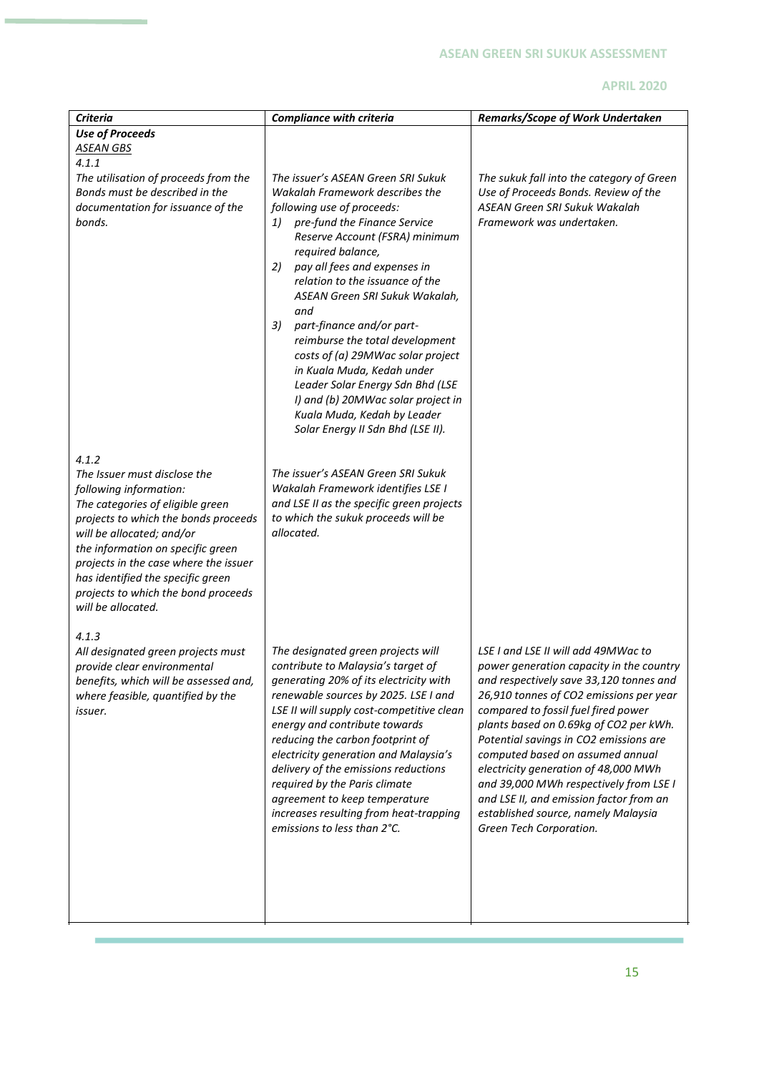| <b>Criteria</b>                                                                                                                                                                                                                                                                                                                                          | <b>Compliance with criteria</b>                                                                                                                                                                                                                                                                                                                                                                                                                                                                                                                                                                        | Remarks/Scope of Work Undertaken                                                                                                                                                                                                                                                                                                                                                                                                                                                                                                    |
|----------------------------------------------------------------------------------------------------------------------------------------------------------------------------------------------------------------------------------------------------------------------------------------------------------------------------------------------------------|--------------------------------------------------------------------------------------------------------------------------------------------------------------------------------------------------------------------------------------------------------------------------------------------------------------------------------------------------------------------------------------------------------------------------------------------------------------------------------------------------------------------------------------------------------------------------------------------------------|-------------------------------------------------------------------------------------------------------------------------------------------------------------------------------------------------------------------------------------------------------------------------------------------------------------------------------------------------------------------------------------------------------------------------------------------------------------------------------------------------------------------------------------|
| <b>Use of Proceeds</b>                                                                                                                                                                                                                                                                                                                                   |                                                                                                                                                                                                                                                                                                                                                                                                                                                                                                                                                                                                        |                                                                                                                                                                                                                                                                                                                                                                                                                                                                                                                                     |
| <u>ASEAN GBS</u>                                                                                                                                                                                                                                                                                                                                         |                                                                                                                                                                                                                                                                                                                                                                                                                                                                                                                                                                                                        |                                                                                                                                                                                                                                                                                                                                                                                                                                                                                                                                     |
| 4.1.1                                                                                                                                                                                                                                                                                                                                                    |                                                                                                                                                                                                                                                                                                                                                                                                                                                                                                                                                                                                        |                                                                                                                                                                                                                                                                                                                                                                                                                                                                                                                                     |
| The utilisation of proceeds from the<br>Bonds must be described in the<br>documentation for issuance of the<br>bonds.                                                                                                                                                                                                                                    | The issuer's ASEAN Green SRI Sukuk<br>Wakalah Framework describes the<br>following use of proceeds:<br>1) pre-fund the Finance Service<br>Reserve Account (FSRA) minimum<br>required balance,<br>2)<br>pay all fees and expenses in<br>relation to the issuance of the<br>ASEAN Green SRI Sukuk Wakalah,<br>and<br>3)<br>part-finance and/or part-<br>reimburse the total development<br>costs of (a) 29MWac solar project<br>in Kuala Muda, Kedah under<br>Leader Solar Energy Sdn Bhd (LSE<br>I) and (b) 20MWac solar project in<br>Kuala Muda, Kedah by Leader<br>Solar Energy II Sdn Bhd (LSE II). | The sukuk fall into the category of Green<br>Use of Proceeds Bonds. Review of the<br>ASEAN Green SRI Sukuk Wakalah<br>Framework was undertaken.                                                                                                                                                                                                                                                                                                                                                                                     |
| 4.1.2<br>The Issuer must disclose the<br>following information:<br>The categories of eligible green<br>projects to which the bonds proceeds<br>will be allocated; and/or<br>the information on specific green<br>projects in the case where the issuer<br>has identified the specific green<br>projects to which the bond proceeds<br>will be allocated. | The issuer's ASEAN Green SRI Sukuk<br>Wakalah Framework identifies LSE I<br>and LSE II as the specific green projects<br>to which the sukuk proceeds will be<br>allocated.                                                                                                                                                                                                                                                                                                                                                                                                                             |                                                                                                                                                                                                                                                                                                                                                                                                                                                                                                                                     |
| 4.1.3<br>All designated green projects must<br>provide clear environmental<br>benefits, which will be assessed and,<br>where feasible, quantified by the<br>issuer.                                                                                                                                                                                      | The designated green projects will<br>contribute to Malaysia's target of<br>generating 20% of its electricity with<br>renewable sources by 2025. LSE I and<br>LSE II will supply cost-competitive clean<br>energy and contribute towards<br>reducing the carbon footprint of<br>electricity generation and Malaysia's<br>delivery of the emissions reductions<br>required by the Paris climate<br>agreement to keep temperature<br>increases resulting from heat-trapping<br>emissions to less than 2°C.                                                                                               | LSE I and LSE II will add 49MWac to<br>power generation capacity in the country<br>and respectively save 33,120 tonnes and<br>26,910 tonnes of CO2 emissions per year<br>compared to fossil fuel fired power<br>plants based on 0.69kg of CO2 per kWh.<br>Potential savings in CO2 emissions are<br>computed based on assumed annual<br>electricity generation of 48,000 MWh<br>and 39,000 MWh respectively from LSE I<br>and LSE II, and emission factor from an<br>established source, namely Malaysia<br>Green Tech Corporation. |

J.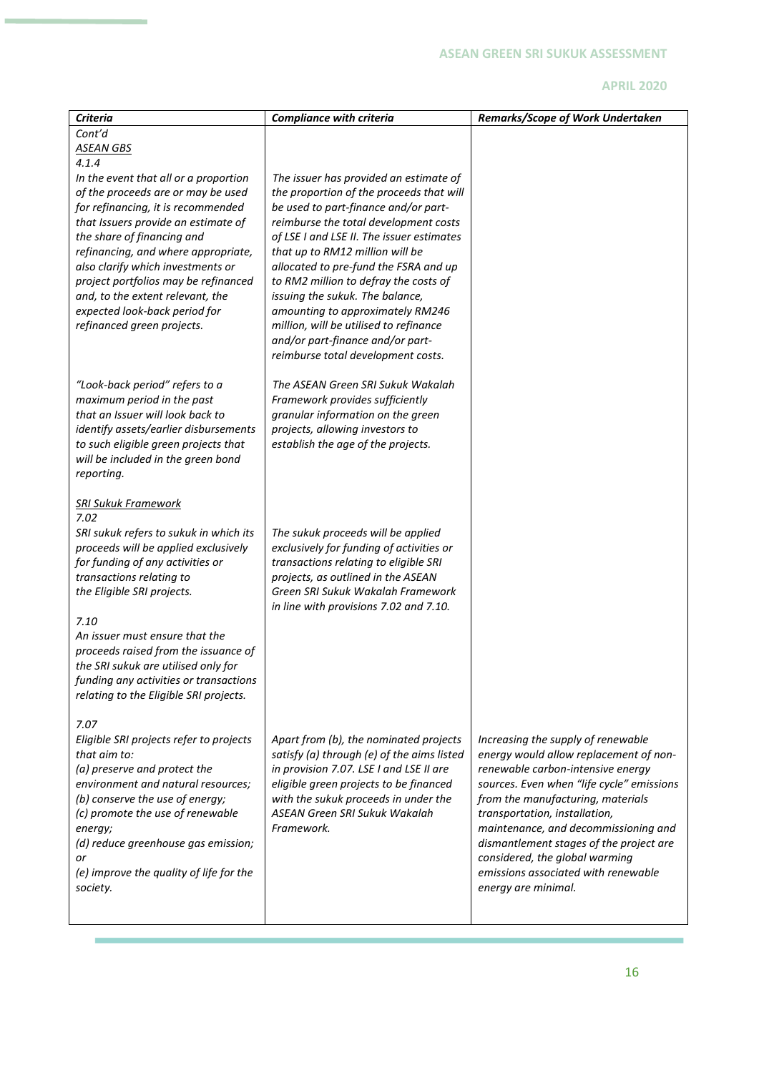| <b>Criteria</b>                                                             | <b>Compliance with criteria</b>                                                      | Remarks/Scope of Work Undertaken                                             |
|-----------------------------------------------------------------------------|--------------------------------------------------------------------------------------|------------------------------------------------------------------------------|
| Cont'd                                                                      |                                                                                      |                                                                              |
| <b>ASEAN GBS</b>                                                            |                                                                                      |                                                                              |
| 4.1.4<br>In the event that all or a proportion                              | The issuer has provided an estimate of                                               |                                                                              |
| of the proceeds are or may be used                                          | the proportion of the proceeds that will                                             |                                                                              |
| for refinancing, it is recommended                                          | be used to part-finance and/or part-                                                 |                                                                              |
| that Issuers provide an estimate of                                         | reimburse the total development costs                                                |                                                                              |
| the share of financing and                                                  | of LSE I and LSE II. The issuer estimates                                            |                                                                              |
| refinancing, and where appropriate,                                         | that up to RM12 million will be                                                      |                                                                              |
| also clarify which investments or<br>project portfolios may be refinanced   | allocated to pre-fund the FSRA and up<br>to RM2 million to defray the costs of       |                                                                              |
| and, to the extent relevant, the                                            | issuing the sukuk. The balance,                                                      |                                                                              |
| expected look-back period for                                               | amounting to approximately RM246                                                     |                                                                              |
| refinanced green projects.                                                  | million, will be utilised to refinance                                               |                                                                              |
|                                                                             | and/or part-finance and/or part-                                                     |                                                                              |
|                                                                             | reimburse total development costs.                                                   |                                                                              |
| "Look-back period" refers to a                                              | The ASEAN Green SRI Sukuk Wakalah                                                    |                                                                              |
| maximum period in the past                                                  | Framework provides sufficiently                                                      |                                                                              |
| that an Issuer will look back to                                            | granular information on the green                                                    |                                                                              |
| identify assets/earlier disbursements                                       | projects, allowing investors to                                                      |                                                                              |
| to such eligible green projects that                                        | establish the age of the projects.                                                   |                                                                              |
| will be included in the green bond<br>reporting.                            |                                                                                      |                                                                              |
|                                                                             |                                                                                      |                                                                              |
| <b>SRI Sukuk Framework</b>                                                  |                                                                                      |                                                                              |
| 7.02                                                                        |                                                                                      |                                                                              |
| SRI sukuk refers to sukuk in which its                                      | The sukuk proceeds will be applied                                                   |                                                                              |
| proceeds will be applied exclusively<br>for funding of any activities or    | exclusively for funding of activities or<br>transactions relating to eligible SRI    |                                                                              |
| transactions relating to                                                    | projects, as outlined in the ASEAN                                                   |                                                                              |
| the Eligible SRI projects.                                                  | Green SRI Sukuk Wakalah Framework                                                    |                                                                              |
|                                                                             | in line with provisions 7.02 and 7.10.                                               |                                                                              |
| 7.10                                                                        |                                                                                      |                                                                              |
| An issuer must ensure that the                                              |                                                                                      |                                                                              |
| proceeds raised from the issuance of<br>the SRI sukuk are utilised only for |                                                                                      |                                                                              |
| funding any activities or transactions                                      |                                                                                      |                                                                              |
| relating to the Eligible SRI projects.                                      |                                                                                      |                                                                              |
|                                                                             |                                                                                      |                                                                              |
| 7.07                                                                        |                                                                                      |                                                                              |
| Eligible SRI projects refer to projects<br>that aim to:                     | Apart from (b), the nominated projects<br>satisfy (a) through (e) of the aims listed | Increasing the supply of renewable<br>energy would allow replacement of non- |
| (a) preserve and protect the                                                | in provision 7.07. LSE I and LSE II are                                              | renewable carbon-intensive energy                                            |
| environment and natural resources;                                          | eligible green projects to be financed                                               | sources. Even when "life cycle" emissions                                    |
| (b) conserve the use of energy;                                             | with the sukuk proceeds in under the                                                 | from the manufacturing, materials                                            |
| (c) promote the use of renewable                                            | ASEAN Green SRI Sukuk Wakalah                                                        | transportation, installation,                                                |
| energy;                                                                     | Framework.                                                                           | maintenance, and decommissioning and                                         |
| (d) reduce greenhouse gas emission;<br>or                                   |                                                                                      | dismantlement stages of the project are<br>considered, the global warming    |
| (e) improve the quality of life for the                                     |                                                                                      | emissions associated with renewable                                          |
| society.                                                                    |                                                                                      | energy are minimal.                                                          |
|                                                                             |                                                                                      |                                                                              |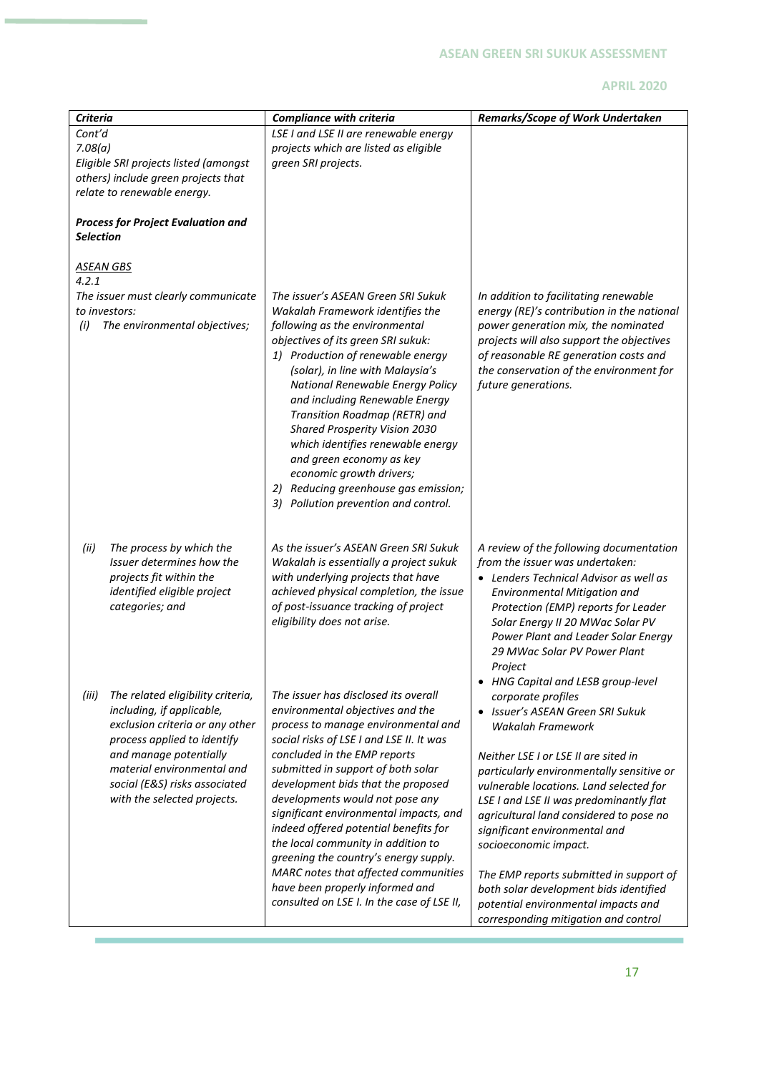| <b>Criteria</b>                                                                                                                                                                                                                                                   | <b>Compliance with criteria</b>                                                                                                                                                                                                                                                                                                                                                                                                                                                                                                                                                                       | Remarks/Scope of Work Undertaken                                                                                                                                                                                                                                                                                                                                                                                                                                                                                                                                    |
|-------------------------------------------------------------------------------------------------------------------------------------------------------------------------------------------------------------------------------------------------------------------|-------------------------------------------------------------------------------------------------------------------------------------------------------------------------------------------------------------------------------------------------------------------------------------------------------------------------------------------------------------------------------------------------------------------------------------------------------------------------------------------------------------------------------------------------------------------------------------------------------|---------------------------------------------------------------------------------------------------------------------------------------------------------------------------------------------------------------------------------------------------------------------------------------------------------------------------------------------------------------------------------------------------------------------------------------------------------------------------------------------------------------------------------------------------------------------|
| Cont'd<br>7.08(a)<br>Eligible SRI projects listed (amongst<br>others) include green projects that<br>relate to renewable energy.                                                                                                                                  | LSE I and LSE II are renewable energy<br>projects which are listed as eligible<br>green SRI projects.                                                                                                                                                                                                                                                                                                                                                                                                                                                                                                 |                                                                                                                                                                                                                                                                                                                                                                                                                                                                                                                                                                     |
| <b>Process for Project Evaluation and</b><br><b>Selection</b>                                                                                                                                                                                                     |                                                                                                                                                                                                                                                                                                                                                                                                                                                                                                                                                                                                       |                                                                                                                                                                                                                                                                                                                                                                                                                                                                                                                                                                     |
| <u>ASEAN GBS</u><br>4.2.1<br>The issuer must clearly communicate<br>to investors:<br>The environmental objectives;<br>(i)                                                                                                                                         | The issuer's ASEAN Green SRI Sukuk<br>Wakalah Framework identifies the<br>following as the environmental<br>objectives of its green SRI sukuk:<br>1) Production of renewable energy<br>(solar), in line with Malaysia's<br>National Renewable Energy Policy<br>and including Renewable Energy<br>Transition Roadmap (RETR) and<br>Shared Prosperity Vision 2030<br>which identifies renewable energy<br>and green economy as key<br>economic growth drivers;<br>2) Reducing greenhouse gas emission;<br>3)<br>Pollution prevention and control.                                                       | In addition to facilitating renewable<br>energy (RE)'s contribution in the national<br>power generation mix, the nominated<br>projects will also support the objectives<br>of reasonable RE generation costs and<br>the conservation of the environment for<br>future generations.                                                                                                                                                                                                                                                                                  |
| (ii)<br>The process by which the<br>Issuer determines how the<br>projects fit within the<br>identified eligible project<br>categories; and                                                                                                                        | As the issuer's ASEAN Green SRI Sukuk<br>Wakalah is essentially a project sukuk<br>with underlying projects that have<br>achieved physical completion, the issue<br>of post-issuance tracking of project<br>eligibility does not arise.                                                                                                                                                                                                                                                                                                                                                               | A review of the following documentation<br>from the issuer was undertaken:<br>• Lenders Technical Advisor as well as<br><b>Environmental Mitigation and</b><br>Protection (EMP) reports for Leader<br>Solar Energy II 20 MWac Solar PV<br>Power Plant and Leader Solar Energy<br>29 MWac Solar PV Power Plant<br>Project                                                                                                                                                                                                                                            |
| (iii)<br>The related eligibility criteria,<br>including, if applicable,<br>exclusion criteria or any other<br>process applied to identify<br>and manage potentially<br>material environmental and<br>social (E&S) risks associated<br>with the selected projects. | The issuer has disclosed its overall<br>environmental objectives and the<br>process to manage environmental and<br>social risks of LSE I and LSE II. It was<br>concluded in the EMP reports<br>submitted in support of both solar<br>development bids that the proposed<br>developments would not pose any<br>significant environmental impacts, and<br>indeed offered potential benefits for<br>the local community in addition to<br>greening the country's energy supply.<br>MARC notes that affected communities<br>have been properly informed and<br>consulted on LSE I. In the case of LSE II, | • HNG Capital and LESB group-level<br>corporate profiles<br>Issuer's ASEAN Green SRI Sukuk<br>Wakalah Framework<br>Neither LSE I or LSE II are sited in<br>particularly environmentally sensitive or<br>vulnerable locations. Land selected for<br>LSE I and LSE II was predominantly flat<br>agricultural land considered to pose no<br>significant environmental and<br>socioeconomic impact.<br>The EMP reports submitted in support of<br>both solar development bids identified<br>potential environmental impacts and<br>corresponding mitigation and control |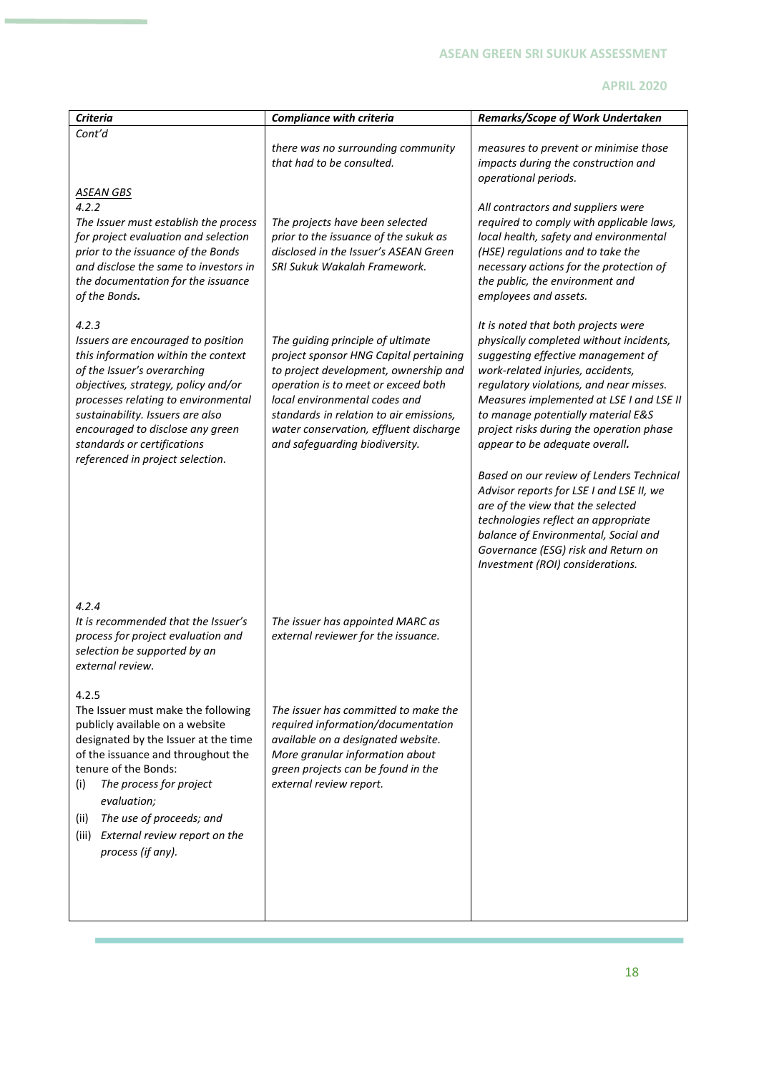| <b>Criteria</b>                                                                                                                                                                                                                                                                                                                            | <b>Compliance with criteria</b>                                                                                                                                                                                                                                                                                     | Remarks/Scope of Work Undertaken                                                                                                                                                                                                                                                                                                                                     |
|--------------------------------------------------------------------------------------------------------------------------------------------------------------------------------------------------------------------------------------------------------------------------------------------------------------------------------------------|---------------------------------------------------------------------------------------------------------------------------------------------------------------------------------------------------------------------------------------------------------------------------------------------------------------------|----------------------------------------------------------------------------------------------------------------------------------------------------------------------------------------------------------------------------------------------------------------------------------------------------------------------------------------------------------------------|
| Cont'd                                                                                                                                                                                                                                                                                                                                     | there was no surrounding community                                                                                                                                                                                                                                                                                  | measures to prevent or minimise those                                                                                                                                                                                                                                                                                                                                |
|                                                                                                                                                                                                                                                                                                                                            | that had to be consulted.                                                                                                                                                                                                                                                                                           | impacts during the construction and<br>operational periods.                                                                                                                                                                                                                                                                                                          |
| <b>ASEAN GBS</b><br>4.2.2<br>The Issuer must establish the process<br>for project evaluation and selection<br>prior to the issuance of the Bonds<br>and disclose the same to investors in<br>the documentation for the issuance<br>of the Bonds.                                                                                           | The projects have been selected<br>prior to the issuance of the sukuk as<br>disclosed in the Issuer's ASEAN Green<br>SRI Sukuk Wakalah Framework.                                                                                                                                                                   | All contractors and suppliers were<br>required to comply with applicable laws,<br>local health, safety and environmental<br>(HSE) regulations and to take the<br>necessary actions for the protection of<br>the public, the environment and<br>employees and assets.                                                                                                 |
| 4.2.3<br>Issuers are encouraged to position<br>this information within the context<br>of the Issuer's overarching<br>objectives, strategy, policy and/or<br>processes relating to environmental<br>sustainability. Issuers are also<br>encouraged to disclose any green<br>standards or certifications<br>referenced in project selection. | The guiding principle of ultimate<br>project sponsor HNG Capital pertaining<br>to project development, ownership and<br>operation is to meet or exceed both<br>local environmental codes and<br>standards in relation to air emissions,<br>water conservation, effluent discharge<br>and safeguarding biodiversity. | It is noted that both projects were<br>physically completed without incidents,<br>suggesting effective management of<br>work-related injuries, accidents,<br>regulatory violations, and near misses.<br>Measures implemented at LSE I and LSE II<br>to manage potentially material E&S<br>project risks during the operation phase<br>appear to be adequate overall. |
|                                                                                                                                                                                                                                                                                                                                            |                                                                                                                                                                                                                                                                                                                     | Based on our review of Lenders Technical<br>Advisor reports for LSE I and LSE II, we<br>are of the view that the selected<br>technologies reflect an appropriate<br>balance of Environmental, Social and<br>Governance (ESG) risk and Return on<br>Investment (ROI) considerations.                                                                                  |
| 4.2.4<br>It is recommended that the Issuer's<br>process for project evaluation and<br>selection be supported by an<br>external review.                                                                                                                                                                                                     | The issuer has appointed MARC as<br>external reviewer for the issuance.                                                                                                                                                                                                                                             |                                                                                                                                                                                                                                                                                                                                                                      |
| 4.2.5<br>The Issuer must make the following<br>publicly available on a website<br>designated by the Issuer at the time<br>of the issuance and throughout the<br>tenure of the Bonds:<br>The process for project<br>(i)<br>evaluation;<br>The use of proceeds; and<br>(ii)<br>External review report on the<br>(iii)<br>process (if any).   | The issuer has committed to make the<br>required information/documentation<br>available on a designated website.<br>More granular information about<br>green projects can be found in the<br>external review report.                                                                                                |                                                                                                                                                                                                                                                                                                                                                                      |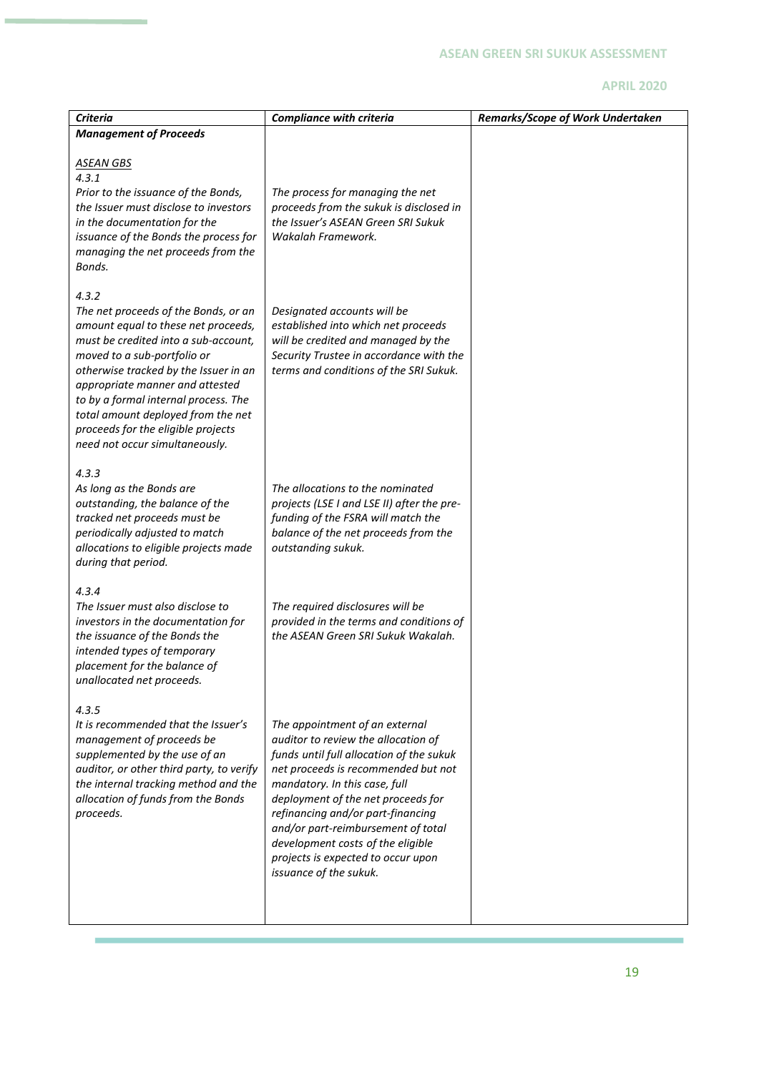| <b>Criteria</b>                                                                                                                                                                                                                                                                                                                                                                               | <b>Compliance with criteria</b>                                                                                                                                                                                                                                                                                                                                                                                 | Remarks/Scope of Work Undertaken |
|-----------------------------------------------------------------------------------------------------------------------------------------------------------------------------------------------------------------------------------------------------------------------------------------------------------------------------------------------------------------------------------------------|-----------------------------------------------------------------------------------------------------------------------------------------------------------------------------------------------------------------------------------------------------------------------------------------------------------------------------------------------------------------------------------------------------------------|----------------------------------|
| <b>Management of Proceeds</b>                                                                                                                                                                                                                                                                                                                                                                 |                                                                                                                                                                                                                                                                                                                                                                                                                 |                                  |
| <u>ASEAN GBS</u><br>4.3.1<br>Prior to the issuance of the Bonds,<br>the Issuer must disclose to investors<br>in the documentation for the<br>issuance of the Bonds the process for<br>managing the net proceeds from the<br>Bonds.                                                                                                                                                            | The process for managing the net<br>proceeds from the sukuk is disclosed in<br>the Issuer's ASEAN Green SRI Sukuk<br>Wakalah Framework.                                                                                                                                                                                                                                                                         |                                  |
| 4.3.2<br>The net proceeds of the Bonds, or an<br>amount equal to these net proceeds,<br>must be credited into a sub-account,<br>moved to a sub-portfolio or<br>otherwise tracked by the Issuer in an<br>appropriate manner and attested<br>to by a formal internal process. The<br>total amount deployed from the net<br>proceeds for the eligible projects<br>need not occur simultaneously. | Designated accounts will be<br>established into which net proceeds<br>will be credited and managed by the<br>Security Trustee in accordance with the<br>terms and conditions of the SRI Sukuk.                                                                                                                                                                                                                  |                                  |
| 4.3.3<br>As long as the Bonds are<br>outstanding, the balance of the<br>tracked net proceeds must be<br>periodically adjusted to match<br>allocations to eligible projects made<br>during that period.                                                                                                                                                                                        | The allocations to the nominated<br>projects (LSE I and LSE II) after the pre-<br>funding of the FSRA will match the<br>balance of the net proceeds from the<br>outstanding sukuk.                                                                                                                                                                                                                              |                                  |
| 4.3.4<br>The Issuer must also disclose to<br>investors in the documentation for<br>the issuance of the Bonds the<br>intended types of temporary<br>placement for the balance of<br>unallocated net proceeds.                                                                                                                                                                                  | The required disclosures will be<br>provided in the terms and conditions of<br>the ASEAN Green SRI Sukuk Wakalah.                                                                                                                                                                                                                                                                                               |                                  |
| 4.3.5<br>It is recommended that the Issuer's<br>management of proceeds be<br>supplemented by the use of an<br>auditor, or other third party, to verify<br>the internal tracking method and the<br>allocation of funds from the Bonds<br>proceeds.                                                                                                                                             | The appointment of an external<br>auditor to review the allocation of<br>funds until full allocation of the sukuk<br>net proceeds is recommended but not<br>mandatory. In this case, full<br>deployment of the net proceeds for<br>refinancing and/or part-financing<br>and/or part-reimbursement of total<br>development costs of the eligible<br>projects is expected to occur upon<br>issuance of the sukuk. |                                  |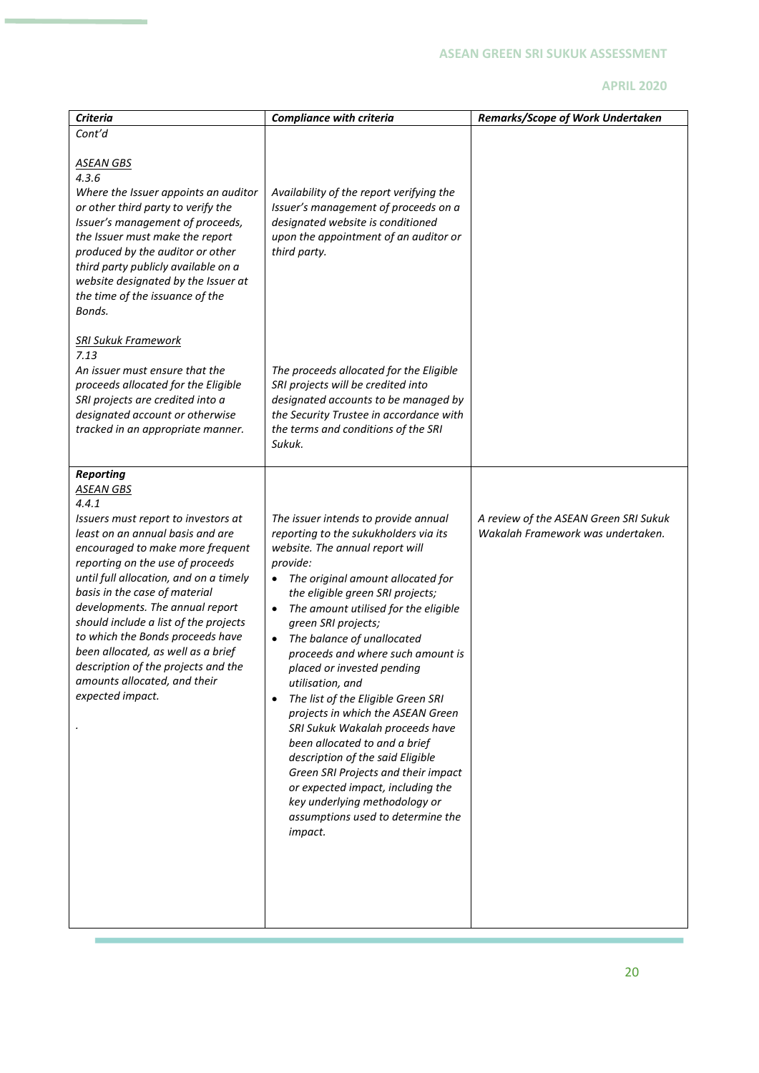| <b>Criteria</b>                                                                                                                                                                                                                                                                                                                                                                                                                                                                                                              | <b>Compliance with criteria</b>                                                                                                                                                                                                                                                                                                                                                                                                                                                                                                                                                                                                                                                                                                                                                       | Remarks/Scope of Work Undertaken                                           |
|------------------------------------------------------------------------------------------------------------------------------------------------------------------------------------------------------------------------------------------------------------------------------------------------------------------------------------------------------------------------------------------------------------------------------------------------------------------------------------------------------------------------------|---------------------------------------------------------------------------------------------------------------------------------------------------------------------------------------------------------------------------------------------------------------------------------------------------------------------------------------------------------------------------------------------------------------------------------------------------------------------------------------------------------------------------------------------------------------------------------------------------------------------------------------------------------------------------------------------------------------------------------------------------------------------------------------|----------------------------------------------------------------------------|
| Cont'd                                                                                                                                                                                                                                                                                                                                                                                                                                                                                                                       |                                                                                                                                                                                                                                                                                                                                                                                                                                                                                                                                                                                                                                                                                                                                                                                       |                                                                            |
| <b>ASEAN GBS</b><br>4.3.6<br>Where the Issuer appoints an auditor<br>or other third party to verify the<br>Issuer's management of proceeds,<br>the Issuer must make the report<br>produced by the auditor or other<br>third party publicly available on a<br>website designated by the Issuer at<br>the time of the issuance of the<br>Bonds.                                                                                                                                                                                | Availability of the report verifying the<br>Issuer's management of proceeds on a<br>designated website is conditioned<br>upon the appointment of an auditor or<br>third party.                                                                                                                                                                                                                                                                                                                                                                                                                                                                                                                                                                                                        |                                                                            |
| <b>SRI Sukuk Framework</b><br>7.13<br>An issuer must ensure that the<br>proceeds allocated for the Eligible<br>SRI projects are credited into a<br>designated account or otherwise<br>tracked in an appropriate manner.                                                                                                                                                                                                                                                                                                      | The proceeds allocated for the Eligible<br>SRI projects will be credited into<br>designated accounts to be managed by<br>the Security Trustee in accordance with<br>the terms and conditions of the SRI<br>Sukuk.                                                                                                                                                                                                                                                                                                                                                                                                                                                                                                                                                                     |                                                                            |
| <b>Reporting</b><br><b>ASEAN GBS</b><br>4.4.1<br>Issuers must report to investors at<br>least on an annual basis and are<br>encouraged to make more frequent<br>reporting on the use of proceeds<br>until full allocation, and on a timely<br>basis in the case of material<br>developments. The annual report<br>should include a list of the projects<br>to which the Bonds proceeds have<br>been allocated, as well as a brief<br>description of the projects and the<br>amounts allocated, and their<br>expected impact. | The issuer intends to provide annual<br>reporting to the sukukholders via its<br>website. The annual report will<br>provide:<br>The original amount allocated for<br>٠<br>the eligible green SRI projects;<br>The amount utilised for the eligible<br>$\bullet$<br>green SRI projects;<br>The balance of unallocated<br>$\bullet$<br>proceeds and where such amount is<br>placed or invested pending<br>utilisation, and<br>The list of the Eligible Green SRI<br>$\bullet$<br>projects in which the ASEAN Green<br>SRI Sukuk Wakalah proceeds have<br>been allocated to and a brief<br>description of the said Eligible<br>Green SRI Projects and their impact<br>or expected impact, including the<br>key underlying methodology or<br>assumptions used to determine the<br>impact. | A review of the ASEAN Green SRI Sukuk<br>Wakalah Framework was undertaken. |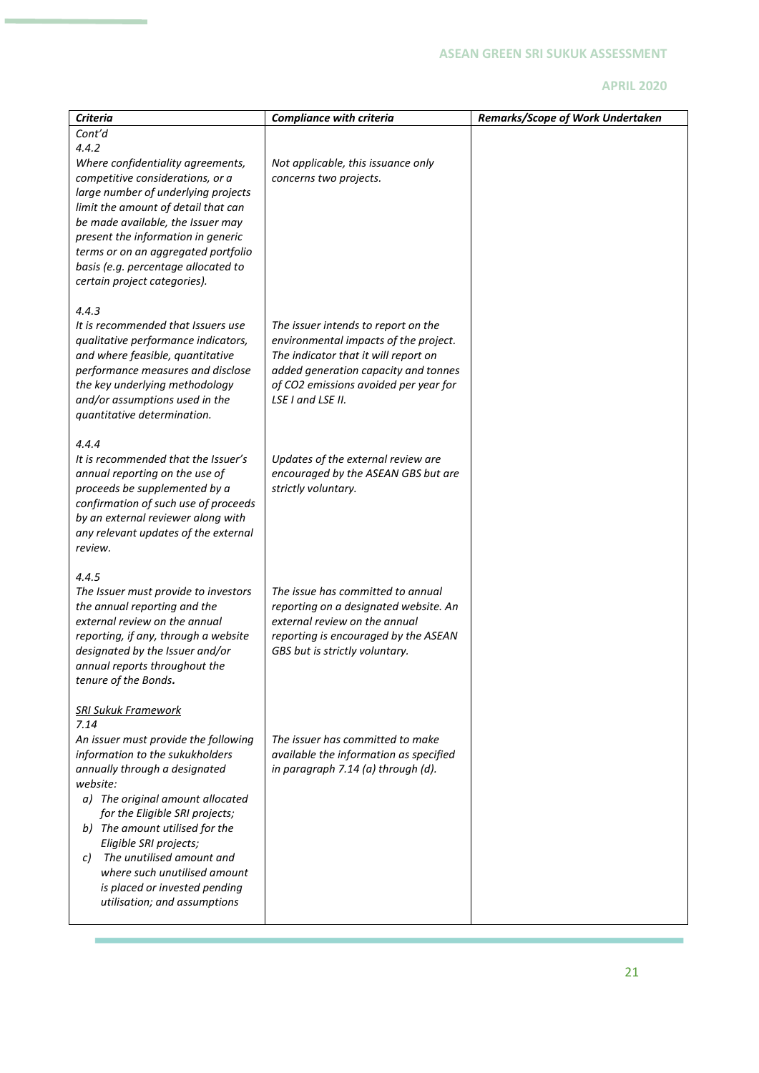| <b>Criteria</b>                                                  | <b>Compliance with criteria</b>                                              | Remarks/Scope of Work Undertaken |
|------------------------------------------------------------------|------------------------------------------------------------------------------|----------------------------------|
| Cont'd                                                           |                                                                              |                                  |
| 4.4.2                                                            |                                                                              |                                  |
| Where confidentiality agreements,                                | Not applicable, this issuance only                                           |                                  |
| competitive considerations, or a                                 | concerns two projects.                                                       |                                  |
| large number of underlying projects                              |                                                                              |                                  |
| limit the amount of detail that can                              |                                                                              |                                  |
| be made available, the Issuer may                                |                                                                              |                                  |
| present the information in generic                               |                                                                              |                                  |
| terms or on an aggregated portfolio                              |                                                                              |                                  |
| basis (e.g. percentage allocated to                              |                                                                              |                                  |
| certain project categories).                                     |                                                                              |                                  |
| 4.4.3                                                            |                                                                              |                                  |
| It is recommended that Issuers use                               | The issuer intends to report on the                                          |                                  |
| qualitative performance indicators,                              | environmental impacts of the project.                                        |                                  |
| and where feasible, quantitative                                 | The indicator that it will report on                                         |                                  |
| performance measures and disclose                                | added generation capacity and tonnes                                         |                                  |
| the key underlying methodology                                   | of CO2 emissions avoided per year for                                        |                                  |
| and/or assumptions used in the                                   | LSE I and LSE II.                                                            |                                  |
| quantitative determination.                                      |                                                                              |                                  |
|                                                                  |                                                                              |                                  |
| 4.4.4                                                            |                                                                              |                                  |
| It is recommended that the Issuer's                              | Updates of the external review are                                           |                                  |
| annual reporting on the use of                                   | encouraged by the ASEAN GBS but are                                          |                                  |
| proceeds be supplemented by a                                    | strictly voluntary.                                                          |                                  |
| confirmation of such use of proceeds                             |                                                                              |                                  |
| by an external reviewer along with                               |                                                                              |                                  |
| any relevant updates of the external                             |                                                                              |                                  |
| review.                                                          |                                                                              |                                  |
| 4.4.5                                                            |                                                                              |                                  |
| The Issuer must provide to investors                             | The issue has committed to annual                                            |                                  |
| the annual reporting and the                                     | reporting on a designated website. An                                        |                                  |
| external review on the annual                                    | external review on the annual                                                |                                  |
| reporting, if any, through a website                             | reporting is encouraged by the ASEAN                                         |                                  |
| designated by the Issuer and/or                                  | GBS but is strictly voluntary.                                               |                                  |
| annual reports throughout the                                    |                                                                              |                                  |
| tenure of the Bonds.                                             |                                                                              |                                  |
|                                                                  |                                                                              |                                  |
| <b>SRI Sukuk Framework</b>                                       |                                                                              |                                  |
| 7.14                                                             |                                                                              |                                  |
| An issuer must provide the following                             | The issuer has committed to make                                             |                                  |
| information to the sukukholders<br>annually through a designated | available the information as specified<br>in paragraph 7.14 (a) through (d). |                                  |
| website:                                                         |                                                                              |                                  |
| a) The original amount allocated                                 |                                                                              |                                  |
| for the Eligible SRI projects;                                   |                                                                              |                                  |
| The amount utilised for the<br>b)                                |                                                                              |                                  |
| Eligible SRI projects;                                           |                                                                              |                                  |
| The unutilised amount and<br>C)                                  |                                                                              |                                  |
| where such unutilised amount                                     |                                                                              |                                  |
| is placed or invested pending                                    |                                                                              |                                  |
| utilisation; and assumptions                                     |                                                                              |                                  |
|                                                                  |                                                                              |                                  |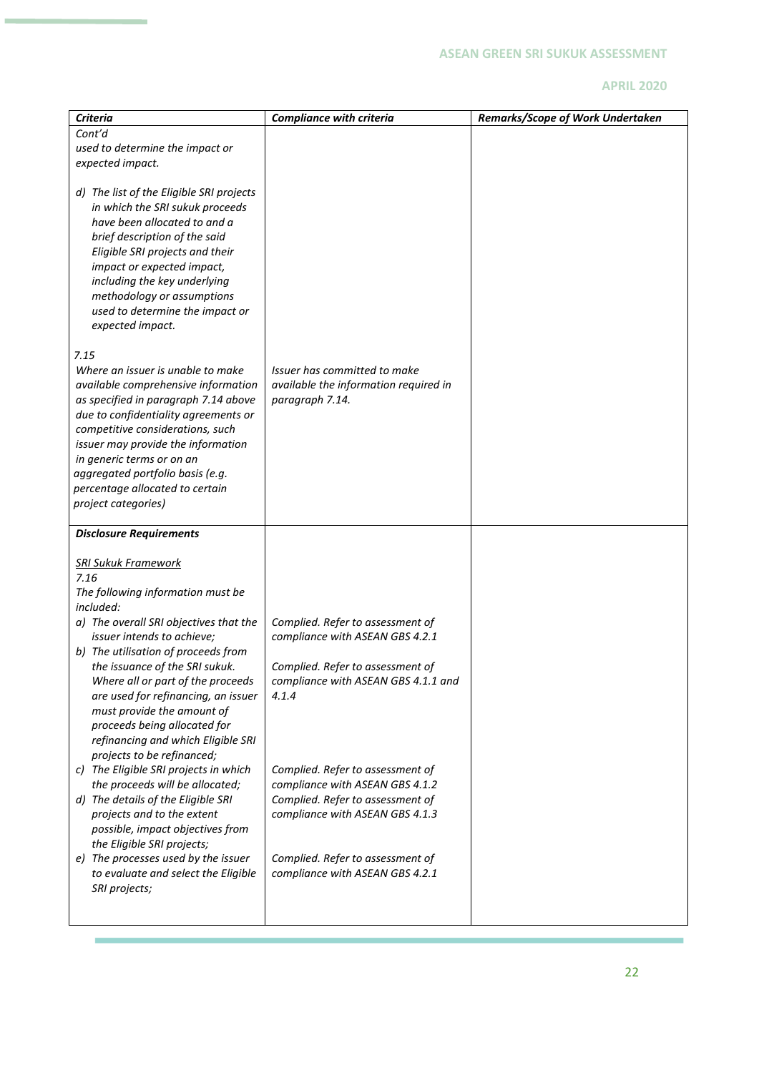| <b>Criteria</b><br>Cont'd                                        | <b>Compliance with criteria</b>                                     | Remarks/Scope of Work Undertaken |
|------------------------------------------------------------------|---------------------------------------------------------------------|----------------------------------|
|                                                                  |                                                                     |                                  |
| used to determine the impact or                                  |                                                                     |                                  |
| expected impact.                                                 |                                                                     |                                  |
| d) The list of the Eligible SRI projects                         |                                                                     |                                  |
| in which the SRI sukuk proceeds                                  |                                                                     |                                  |
| have been allocated to and a                                     |                                                                     |                                  |
| brief description of the said                                    |                                                                     |                                  |
| Eligible SRI projects and their                                  |                                                                     |                                  |
| impact or expected impact,                                       |                                                                     |                                  |
| including the key underlying                                     |                                                                     |                                  |
| methodology or assumptions                                       |                                                                     |                                  |
| used to determine the impact or                                  |                                                                     |                                  |
| expected impact.                                                 |                                                                     |                                  |
|                                                                  |                                                                     |                                  |
| 7.15                                                             |                                                                     |                                  |
| Where an issuer is unable to make                                | Issuer has committed to make                                        |                                  |
| available comprehensive information                              | available the information required in                               |                                  |
| as specified in paragraph 7.14 above                             | paragraph 7.14.                                                     |                                  |
| due to confidentiality agreements or                             |                                                                     |                                  |
| competitive considerations, such                                 |                                                                     |                                  |
| issuer may provide the information                               |                                                                     |                                  |
| in generic terms or on an                                        |                                                                     |                                  |
| aggregated portfolio basis (e.g.                                 |                                                                     |                                  |
| percentage allocated to certain                                  |                                                                     |                                  |
| project categories)                                              |                                                                     |                                  |
| <b>Disclosure Requirements</b>                                   |                                                                     |                                  |
|                                                                  |                                                                     |                                  |
| <u> SRI Sukuk Framework</u>                                      |                                                                     |                                  |
| 7.16                                                             |                                                                     |                                  |
| The following information must be                                |                                                                     |                                  |
| included:                                                        |                                                                     |                                  |
| a) The overall SRI objectives that the                           | Complied. Refer to assessment of                                    |                                  |
| issuer intends to achieve;                                       | compliance with ASEAN GBS 4.2.1                                     |                                  |
| b) The utilisation of proceeds from                              |                                                                     |                                  |
| the issuance of the SRI sukuk.                                   | Complied. Refer to assessment of                                    |                                  |
| Where all or part of the proceeds                                | compliance with ASEAN GBS 4.1.1 and                                 |                                  |
| are used for refinancing, an issuer                              | 4.1.4                                                               |                                  |
| must provide the amount of                                       |                                                                     |                                  |
| proceeds being allocated for                                     |                                                                     |                                  |
| refinancing and which Eligible SRI                               |                                                                     |                                  |
| projects to be refinanced;                                       |                                                                     |                                  |
| c) The Eligible SRI projects in which                            | Complied. Refer to assessment of                                    |                                  |
| the proceeds will be allocated;                                  | compliance with ASEAN GBS 4.1.2                                     |                                  |
| d) The details of the Eligible SRI<br>projects and to the extent | Complied. Refer to assessment of<br>compliance with ASEAN GBS 4.1.3 |                                  |
| possible, impact objectives from                                 |                                                                     |                                  |
| the Eligible SRI projects;                                       |                                                                     |                                  |
| e) The processes used by the issuer                              | Complied. Refer to assessment of                                    |                                  |
| to evaluate and select the Eligible                              | compliance with ASEAN GBS 4.2.1                                     |                                  |
| SRI projects;                                                    |                                                                     |                                  |
|                                                                  |                                                                     |                                  |
|                                                                  |                                                                     |                                  |

٠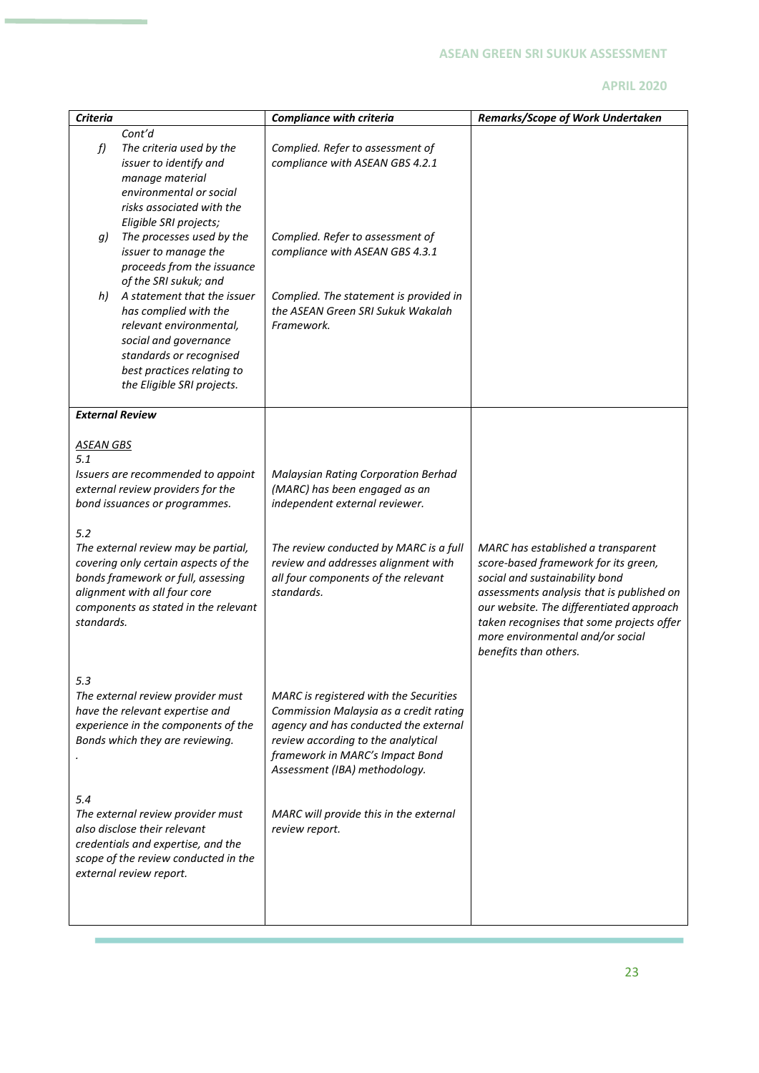|                                                                                                                                                                                                                                                                                                             |                                                                                                                                                                                                                                                                                                                                                                                                                                                                                                                                                                                                                                                                                                                                       | Remarks/Scope of Work Undertaken                                                                                                                                                                      |
|-------------------------------------------------------------------------------------------------------------------------------------------------------------------------------------------------------------------------------------------------------------------------------------------------------------|---------------------------------------------------------------------------------------------------------------------------------------------------------------------------------------------------------------------------------------------------------------------------------------------------------------------------------------------------------------------------------------------------------------------------------------------------------------------------------------------------------------------------------------------------------------------------------------------------------------------------------------------------------------------------------------------------------------------------------------|-------------------------------------------------------------------------------------------------------------------------------------------------------------------------------------------------------|
|                                                                                                                                                                                                                                                                                                             |                                                                                                                                                                                                                                                                                                                                                                                                                                                                                                                                                                                                                                                                                                                                       |                                                                                                                                                                                                       |
| The criteria used by the<br>issuer to identify and<br>manage material<br>environmental or social<br>risks associated with the                                                                                                                                                                               | Complied. Refer to assessment of<br>compliance with ASEAN GBS 4.2.1                                                                                                                                                                                                                                                                                                                                                                                                                                                                                                                                                                                                                                                                   |                                                                                                                                                                                                       |
| The processes used by the<br>issuer to manage the<br>proceeds from the issuance<br>of the SRI sukuk; and<br>A statement that the issuer<br>has complied with the<br>relevant environmental,<br>social and governance<br>standards or recognised<br>best practices relating to<br>the Eligible SRI projects. | Complied. Refer to assessment of<br>compliance with ASEAN GBS 4.3.1<br>Complied. The statement is provided in<br>the ASEAN Green SRI Sukuk Wakalah<br>Framework.                                                                                                                                                                                                                                                                                                                                                                                                                                                                                                                                                                      |                                                                                                                                                                                                       |
|                                                                                                                                                                                                                                                                                                             |                                                                                                                                                                                                                                                                                                                                                                                                                                                                                                                                                                                                                                                                                                                                       |                                                                                                                                                                                                       |
|                                                                                                                                                                                                                                                                                                             | Malaysian Rating Corporation Berhad<br>(MARC) has been engaged as an<br>independent external reviewer.<br>The review conducted by MARC is a full<br>review and addresses alignment with<br>all four components of the relevant<br>standards.                                                                                                                                                                                                                                                                                                                                                                                                                                                                                          | MARC has established a transparent<br>score-based framework for its green,<br>social and sustainability bond<br>assessments analysis that is published on<br>our website. The differentiated approach |
|                                                                                                                                                                                                                                                                                                             |                                                                                                                                                                                                                                                                                                                                                                                                                                                                                                                                                                                                                                                                                                                                       | taken recognises that some projects offer<br>more environmental and/or social<br>benefits than others.                                                                                                |
|                                                                                                                                                                                                                                                                                                             | MARC is registered with the Securities<br>Commission Malaysia as a credit rating<br>agency and has conducted the external<br>review according to the analytical<br>framework in MARC's Impact Bond<br>Assessment (IBA) methodology.                                                                                                                                                                                                                                                                                                                                                                                                                                                                                                   |                                                                                                                                                                                                       |
|                                                                                                                                                                                                                                                                                                             | MARC will provide this in the external<br>review report.                                                                                                                                                                                                                                                                                                                                                                                                                                                                                                                                                                                                                                                                              |                                                                                                                                                                                                       |
|                                                                                                                                                                                                                                                                                                             | Cont'd<br>Eligible SRI projects;<br><b>External Review</b><br><b>ASEAN GBS</b><br>Issuers are recommended to appoint<br>external review providers for the<br>bond issuances or programmes.<br>The external review may be partial,<br>covering only certain aspects of the<br>bonds framework or full, assessing<br>alignment with all four core<br>components as stated in the relevant<br>standards.<br>The external review provider must<br>have the relevant expertise and<br>experience in the components of the<br>Bonds which they are reviewing.<br>The external review provider must<br>also disclose their relevant<br>credentials and expertise, and the<br>scope of the review conducted in the<br>external review report. | <b>Compliance with criteria</b>                                                                                                                                                                       |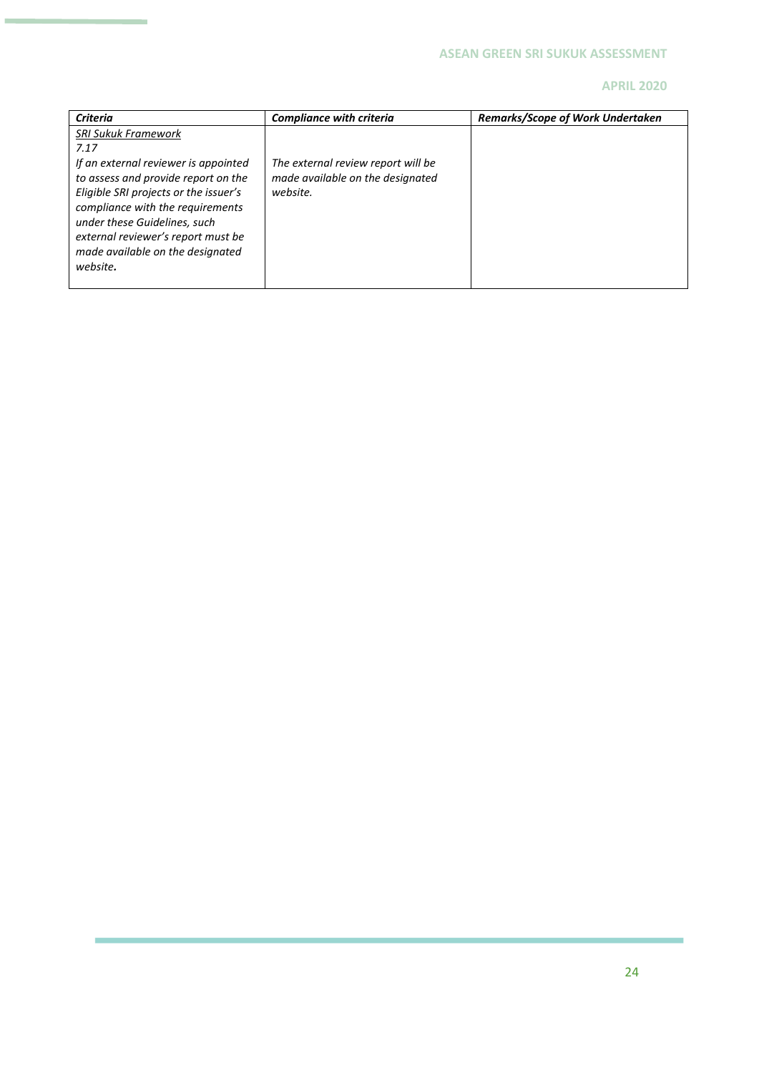| <b>Criteria</b>                                                                                                                                                                                | <b>Compliance with criteria</b>                                                    | <b>Remarks/Scope of Work Undertaken</b> |
|------------------------------------------------------------------------------------------------------------------------------------------------------------------------------------------------|------------------------------------------------------------------------------------|-----------------------------------------|
| <b>SRI Sukuk Framework</b><br>7.17<br>If an external reviewer is appointed<br>to assess and provide report on the<br>Eligible SRI projects or the issuer's<br>compliance with the requirements | The external review report will be<br>made available on the designated<br>website. |                                         |
| under these Guidelines, such<br>external reviewer's report must be<br>made available on the designated<br>website.                                                                             |                                                                                    |                                         |